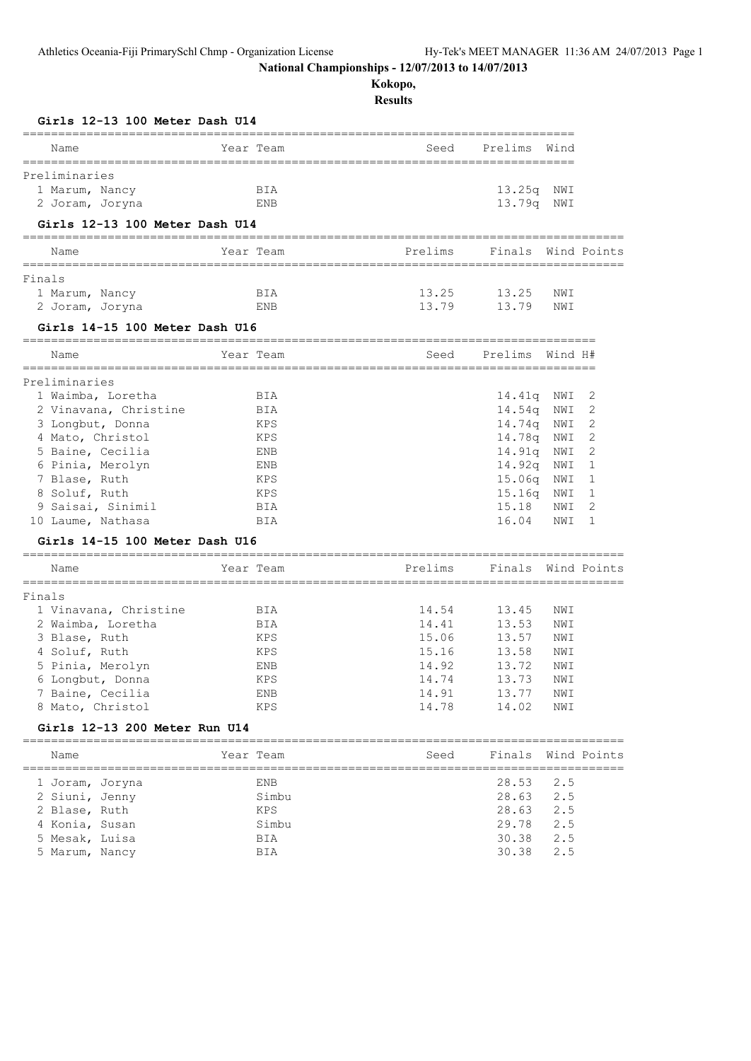**Kokopo,**

| Year Team<br>Prelims<br>Wind<br>Name<br>Seed<br>13.25q NWI<br>1 Marum, Nancy<br>BIA<br>2 Joram, Joryna<br>13.79q NWI<br>ENB<br>Girls 12-13 100 Meter Dash U14<br>Year Team<br>Prelims<br>Finals<br>Wind Points<br>Name<br>13.25<br>13.25<br>1 Marum, Nancy<br>BIA<br>NWI<br>13.79<br>13.79<br>2 Joram, Joryna<br>ENB<br>NWI<br>Girls 14-15 100 Meter Dash U16<br>Prelims<br>Year Team<br>Wind H#<br>Name<br>Seed<br>2<br>1 Waimba, Loretha<br>BIA<br>14.41q<br>NWI<br>2<br>2 Vinavana, Christine<br>14.54q<br>BIA<br>NWI<br>2<br>14.74q<br>3 Longbut, Donna<br>KPS<br>NWI<br>14.78q<br>2<br>4 Mato, Christol<br>KPS<br>NWI<br>2<br>5 Baine, Cecilia<br>14.91q<br>ENB<br>NWI<br>6 Pinia, Merolyn<br>14.92q<br>1<br>ENB<br>NWI<br>7 Blase, Ruth<br>15.06q<br>NWI<br>1<br>KPS<br>8 Soluf, Ruth<br>15.16q<br>1<br>KPS<br>NWI<br>2<br>9 Saisai, Sinimil<br>15.18<br>BIA<br>NWI<br>16.04<br>1<br>10 Laume, Nathasa<br>BIA<br>NWI<br>Girls 14-15 100 Meter Dash U16<br>Year Team<br>Prelims<br>Finals<br>Wind Points<br>Name<br>14.54<br>13.45<br>1 Vinavana, Christine<br>BIA<br>NWI<br>2 Waimba, Loretha<br>14.41<br>13.53<br>BIA<br>NWI<br>3 Blase, Ruth<br>15.06<br>13.57<br>KPS<br>NWI<br>15.16<br>13.58<br>4 Soluf, Ruth<br>KPS<br>NWI<br>5 Pinia, Merolyn<br>14.92<br>13.72<br>ENB<br>NWI<br>6 Longbut, Donna<br>KPS<br>14.74<br>13.73<br>NWI<br>7 Baine, Cecilia<br>ENB<br>14.91<br>13.77<br>NWI<br>8 Mato, Christol<br>KPS<br>14.78<br>14.02<br>NWI<br>Girls 12-13 200 Meter Run U14<br>Year Team<br>Seed<br>Finals<br>Wind Points<br>Name<br>ENB<br>28.53<br>2.5<br>1 Joram, Joryna<br>Simbu<br>28.63<br>2.5<br>2 Siuni, Jenny<br>2 Blase, Ruth<br>KPS<br>28.63<br>2.5<br>29.78<br>2.5<br>4 Konia, Susan<br>Simbu<br>5 Mesak, Luisa<br>30.38<br>2.5<br>BIA<br>5 Marum, Nancy<br>30.38<br>2.5<br>BIA | Girls 12-13 100 Meter Dash U14<br>==================== |  |  |  |
|--------------------------------------------------------------------------------------------------------------------------------------------------------------------------------------------------------------------------------------------------------------------------------------------------------------------------------------------------------------------------------------------------------------------------------------------------------------------------------------------------------------------------------------------------------------------------------------------------------------------------------------------------------------------------------------------------------------------------------------------------------------------------------------------------------------------------------------------------------------------------------------------------------------------------------------------------------------------------------------------------------------------------------------------------------------------------------------------------------------------------------------------------------------------------------------------------------------------------------------------------------------------------------------------------------------------------------------------------------------------------------------------------------------------------------------------------------------------------------------------------------------------------------------------------------------------------------------------------------------------------------------------------------------------------------------------------------------------------------------------------------------------------------------------------------|--------------------------------------------------------|--|--|--|
|                                                                                                                                                                                                                                                                                                                                                                                                                                                                                                                                                                                                                                                                                                                                                                                                                                                                                                                                                                                                                                                                                                                                                                                                                                                                                                                                                                                                                                                                                                                                                                                                                                                                                                                                                                                                        |                                                        |  |  |  |
|                                                                                                                                                                                                                                                                                                                                                                                                                                                                                                                                                                                                                                                                                                                                                                                                                                                                                                                                                                                                                                                                                                                                                                                                                                                                                                                                                                                                                                                                                                                                                                                                                                                                                                                                                                                                        | Preliminaries                                          |  |  |  |
|                                                                                                                                                                                                                                                                                                                                                                                                                                                                                                                                                                                                                                                                                                                                                                                                                                                                                                                                                                                                                                                                                                                                                                                                                                                                                                                                                                                                                                                                                                                                                                                                                                                                                                                                                                                                        |                                                        |  |  |  |
|                                                                                                                                                                                                                                                                                                                                                                                                                                                                                                                                                                                                                                                                                                                                                                                                                                                                                                                                                                                                                                                                                                                                                                                                                                                                                                                                                                                                                                                                                                                                                                                                                                                                                                                                                                                                        |                                                        |  |  |  |
|                                                                                                                                                                                                                                                                                                                                                                                                                                                                                                                                                                                                                                                                                                                                                                                                                                                                                                                                                                                                                                                                                                                                                                                                                                                                                                                                                                                                                                                                                                                                                                                                                                                                                                                                                                                                        |                                                        |  |  |  |
|                                                                                                                                                                                                                                                                                                                                                                                                                                                                                                                                                                                                                                                                                                                                                                                                                                                                                                                                                                                                                                                                                                                                                                                                                                                                                                                                                                                                                                                                                                                                                                                                                                                                                                                                                                                                        | ===========                                            |  |  |  |
|                                                                                                                                                                                                                                                                                                                                                                                                                                                                                                                                                                                                                                                                                                                                                                                                                                                                                                                                                                                                                                                                                                                                                                                                                                                                                                                                                                                                                                                                                                                                                                                                                                                                                                                                                                                                        | Finals                                                 |  |  |  |
|                                                                                                                                                                                                                                                                                                                                                                                                                                                                                                                                                                                                                                                                                                                                                                                                                                                                                                                                                                                                                                                                                                                                                                                                                                                                                                                                                                                                                                                                                                                                                                                                                                                                                                                                                                                                        |                                                        |  |  |  |
|                                                                                                                                                                                                                                                                                                                                                                                                                                                                                                                                                                                                                                                                                                                                                                                                                                                                                                                                                                                                                                                                                                                                                                                                                                                                                                                                                                                                                                                                                                                                                                                                                                                                                                                                                                                                        |                                                        |  |  |  |
|                                                                                                                                                                                                                                                                                                                                                                                                                                                                                                                                                                                                                                                                                                                                                                                                                                                                                                                                                                                                                                                                                                                                                                                                                                                                                                                                                                                                                                                                                                                                                                                                                                                                                                                                                                                                        |                                                        |  |  |  |
|                                                                                                                                                                                                                                                                                                                                                                                                                                                                                                                                                                                                                                                                                                                                                                                                                                                                                                                                                                                                                                                                                                                                                                                                                                                                                                                                                                                                                                                                                                                                                                                                                                                                                                                                                                                                        |                                                        |  |  |  |
|                                                                                                                                                                                                                                                                                                                                                                                                                                                                                                                                                                                                                                                                                                                                                                                                                                                                                                                                                                                                                                                                                                                                                                                                                                                                                                                                                                                                                                                                                                                                                                                                                                                                                                                                                                                                        | Preliminaries                                          |  |  |  |
|                                                                                                                                                                                                                                                                                                                                                                                                                                                                                                                                                                                                                                                                                                                                                                                                                                                                                                                                                                                                                                                                                                                                                                                                                                                                                                                                                                                                                                                                                                                                                                                                                                                                                                                                                                                                        |                                                        |  |  |  |
|                                                                                                                                                                                                                                                                                                                                                                                                                                                                                                                                                                                                                                                                                                                                                                                                                                                                                                                                                                                                                                                                                                                                                                                                                                                                                                                                                                                                                                                                                                                                                                                                                                                                                                                                                                                                        |                                                        |  |  |  |
|                                                                                                                                                                                                                                                                                                                                                                                                                                                                                                                                                                                                                                                                                                                                                                                                                                                                                                                                                                                                                                                                                                                                                                                                                                                                                                                                                                                                                                                                                                                                                                                                                                                                                                                                                                                                        |                                                        |  |  |  |
|                                                                                                                                                                                                                                                                                                                                                                                                                                                                                                                                                                                                                                                                                                                                                                                                                                                                                                                                                                                                                                                                                                                                                                                                                                                                                                                                                                                                                                                                                                                                                                                                                                                                                                                                                                                                        |                                                        |  |  |  |
|                                                                                                                                                                                                                                                                                                                                                                                                                                                                                                                                                                                                                                                                                                                                                                                                                                                                                                                                                                                                                                                                                                                                                                                                                                                                                                                                                                                                                                                                                                                                                                                                                                                                                                                                                                                                        |                                                        |  |  |  |
|                                                                                                                                                                                                                                                                                                                                                                                                                                                                                                                                                                                                                                                                                                                                                                                                                                                                                                                                                                                                                                                                                                                                                                                                                                                                                                                                                                                                                                                                                                                                                                                                                                                                                                                                                                                                        |                                                        |  |  |  |
|                                                                                                                                                                                                                                                                                                                                                                                                                                                                                                                                                                                                                                                                                                                                                                                                                                                                                                                                                                                                                                                                                                                                                                                                                                                                                                                                                                                                                                                                                                                                                                                                                                                                                                                                                                                                        |                                                        |  |  |  |
|                                                                                                                                                                                                                                                                                                                                                                                                                                                                                                                                                                                                                                                                                                                                                                                                                                                                                                                                                                                                                                                                                                                                                                                                                                                                                                                                                                                                                                                                                                                                                                                                                                                                                                                                                                                                        |                                                        |  |  |  |
|                                                                                                                                                                                                                                                                                                                                                                                                                                                                                                                                                                                                                                                                                                                                                                                                                                                                                                                                                                                                                                                                                                                                                                                                                                                                                                                                                                                                                                                                                                                                                                                                                                                                                                                                                                                                        |                                                        |  |  |  |
|                                                                                                                                                                                                                                                                                                                                                                                                                                                                                                                                                                                                                                                                                                                                                                                                                                                                                                                                                                                                                                                                                                                                                                                                                                                                                                                                                                                                                                                                                                                                                                                                                                                                                                                                                                                                        |                                                        |  |  |  |
|                                                                                                                                                                                                                                                                                                                                                                                                                                                                                                                                                                                                                                                                                                                                                                                                                                                                                                                                                                                                                                                                                                                                                                                                                                                                                                                                                                                                                                                                                                                                                                                                                                                                                                                                                                                                        |                                                        |  |  |  |
|                                                                                                                                                                                                                                                                                                                                                                                                                                                                                                                                                                                                                                                                                                                                                                                                                                                                                                                                                                                                                                                                                                                                                                                                                                                                                                                                                                                                                                                                                                                                                                                                                                                                                                                                                                                                        |                                                        |  |  |  |
|                                                                                                                                                                                                                                                                                                                                                                                                                                                                                                                                                                                                                                                                                                                                                                                                                                                                                                                                                                                                                                                                                                                                                                                                                                                                                                                                                                                                                                                                                                                                                                                                                                                                                                                                                                                                        | Finals                                                 |  |  |  |
|                                                                                                                                                                                                                                                                                                                                                                                                                                                                                                                                                                                                                                                                                                                                                                                                                                                                                                                                                                                                                                                                                                                                                                                                                                                                                                                                                                                                                                                                                                                                                                                                                                                                                                                                                                                                        |                                                        |  |  |  |
|                                                                                                                                                                                                                                                                                                                                                                                                                                                                                                                                                                                                                                                                                                                                                                                                                                                                                                                                                                                                                                                                                                                                                                                                                                                                                                                                                                                                                                                                                                                                                                                                                                                                                                                                                                                                        |                                                        |  |  |  |
|                                                                                                                                                                                                                                                                                                                                                                                                                                                                                                                                                                                                                                                                                                                                                                                                                                                                                                                                                                                                                                                                                                                                                                                                                                                                                                                                                                                                                                                                                                                                                                                                                                                                                                                                                                                                        |                                                        |  |  |  |
|                                                                                                                                                                                                                                                                                                                                                                                                                                                                                                                                                                                                                                                                                                                                                                                                                                                                                                                                                                                                                                                                                                                                                                                                                                                                                                                                                                                                                                                                                                                                                                                                                                                                                                                                                                                                        |                                                        |  |  |  |
|                                                                                                                                                                                                                                                                                                                                                                                                                                                                                                                                                                                                                                                                                                                                                                                                                                                                                                                                                                                                                                                                                                                                                                                                                                                                                                                                                                                                                                                                                                                                                                                                                                                                                                                                                                                                        |                                                        |  |  |  |
|                                                                                                                                                                                                                                                                                                                                                                                                                                                                                                                                                                                                                                                                                                                                                                                                                                                                                                                                                                                                                                                                                                                                                                                                                                                                                                                                                                                                                                                                                                                                                                                                                                                                                                                                                                                                        |                                                        |  |  |  |
|                                                                                                                                                                                                                                                                                                                                                                                                                                                                                                                                                                                                                                                                                                                                                                                                                                                                                                                                                                                                                                                                                                                                                                                                                                                                                                                                                                                                                                                                                                                                                                                                                                                                                                                                                                                                        |                                                        |  |  |  |
|                                                                                                                                                                                                                                                                                                                                                                                                                                                                                                                                                                                                                                                                                                                                                                                                                                                                                                                                                                                                                                                                                                                                                                                                                                                                                                                                                                                                                                                                                                                                                                                                                                                                                                                                                                                                        |                                                        |  |  |  |
|                                                                                                                                                                                                                                                                                                                                                                                                                                                                                                                                                                                                                                                                                                                                                                                                                                                                                                                                                                                                                                                                                                                                                                                                                                                                                                                                                                                                                                                                                                                                                                                                                                                                                                                                                                                                        |                                                        |  |  |  |
|                                                                                                                                                                                                                                                                                                                                                                                                                                                                                                                                                                                                                                                                                                                                                                                                                                                                                                                                                                                                                                                                                                                                                                                                                                                                                                                                                                                                                                                                                                                                                                                                                                                                                                                                                                                                        |                                                        |  |  |  |
|                                                                                                                                                                                                                                                                                                                                                                                                                                                                                                                                                                                                                                                                                                                                                                                                                                                                                                                                                                                                                                                                                                                                                                                                                                                                                                                                                                                                                                                                                                                                                                                                                                                                                                                                                                                                        |                                                        |  |  |  |
|                                                                                                                                                                                                                                                                                                                                                                                                                                                                                                                                                                                                                                                                                                                                                                                                                                                                                                                                                                                                                                                                                                                                                                                                                                                                                                                                                                                                                                                                                                                                                                                                                                                                                                                                                                                                        |                                                        |  |  |  |
|                                                                                                                                                                                                                                                                                                                                                                                                                                                                                                                                                                                                                                                                                                                                                                                                                                                                                                                                                                                                                                                                                                                                                                                                                                                                                                                                                                                                                                                                                                                                                                                                                                                                                                                                                                                                        |                                                        |  |  |  |
|                                                                                                                                                                                                                                                                                                                                                                                                                                                                                                                                                                                                                                                                                                                                                                                                                                                                                                                                                                                                                                                                                                                                                                                                                                                                                                                                                                                                                                                                                                                                                                                                                                                                                                                                                                                                        |                                                        |  |  |  |
|                                                                                                                                                                                                                                                                                                                                                                                                                                                                                                                                                                                                                                                                                                                                                                                                                                                                                                                                                                                                                                                                                                                                                                                                                                                                                                                                                                                                                                                                                                                                                                                                                                                                                                                                                                                                        |                                                        |  |  |  |
|                                                                                                                                                                                                                                                                                                                                                                                                                                                                                                                                                                                                                                                                                                                                                                                                                                                                                                                                                                                                                                                                                                                                                                                                                                                                                                                                                                                                                                                                                                                                                                                                                                                                                                                                                                                                        |                                                        |  |  |  |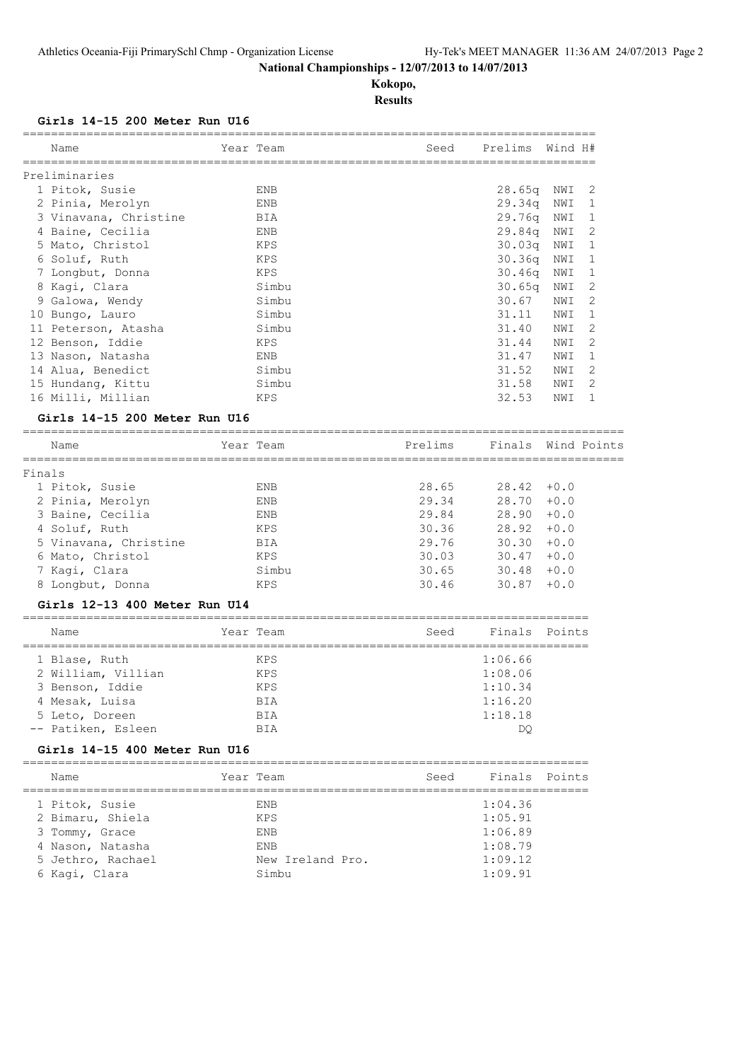**Kokopo, Results**

# **Girls 14-15 200 Meter Run U16**

|        | Name                          | Year Team         | Seed                                | Prelims            | Wind H#     |   |
|--------|-------------------------------|-------------------|-------------------------------------|--------------------|-------------|---|
|        | Preliminaries                 |                   |                                     |                    |             |   |
|        | 1 Pitok, Susie                | ENB               |                                     | 28.65q             | NWI         | 2 |
|        | 2 Pinia, Merolyn              | ENB               |                                     | 29.34q             | NWI         | 1 |
|        |                               |                   |                                     |                    |             |   |
|        | 3 Vinavana, Christine         | BIA               |                                     | 29.76q             | NWI         | 1 |
|        | 4 Baine, Cecilia              | ENB               |                                     | 29.84q             | NWI         | 2 |
|        | 5 Mato, Christol              | KPS               |                                     | 30.03q             | NWI         | 1 |
|        | 6 Soluf, Ruth                 | KPS               |                                     | 30.36q             | NWI         | 1 |
|        | 7 Longbut, Donna              | KPS               |                                     | 30.46q             | NWI         | 1 |
|        | 8 Kagi, Clara                 | Simbu             |                                     | 30.65q             | NWI         | 2 |
|        | 9 Galowa, Wendy               | Simbu             |                                     | 30.67              | NWI         | 2 |
|        | 10 Bungo, Lauro               | Simbu             |                                     | 31.11              | NWI         | 1 |
|        | 11 Peterson, Atasha           | Simbu             |                                     | 31.40              | NWI         | 2 |
|        | 12 Benson, Iddie              | KPS               |                                     | 31.44              | NWI         | 2 |
|        | 13 Nason, Natasha             | ENB               |                                     | 31.47              | NWI         | 1 |
|        | 14 Alua, Benedict             | Simbu             |                                     | 31.52              | NWI         | 2 |
|        |                               | Simbu             |                                     | 31.58              |             | 2 |
|        | 15 Hundang, Kittu             |                   |                                     |                    | NWI         |   |
|        | 16 Milli, Millian             | KPS               |                                     | 32.53              | NWI         | 1 |
|        | Girls 14-15 200 Meter Run U16 |                   |                                     |                    |             |   |
|        | Name                          | Year Team         | Prelims                             | Finals             | Wind Points |   |
|        | =============                 | ================= | ----------------------------------- |                    |             |   |
| Finals |                               |                   |                                     |                    |             |   |
|        | 1 Pitok, Susie                | ENB               | 28.65                               | 28.42              | $+0.0$      |   |
|        | 2 Pinia, Merolyn              | ENB               | 29.34                               | 28.70              | $+0.0$      |   |
|        | 3 Baine, Cecilia              | ENB               | 29.84                               | 28.90              | $+0.0$      |   |
|        | 4 Soluf, Ruth                 | KPS               | 30.36                               | 28.92              | $+0.0$      |   |
|        | 5 Vinavana, Christine         | BIA               | 29.76                               | 30.30              | $+0.0$      |   |
|        | 6 Mato, Christol              | KPS               | 30.03                               | 30.47              | $+0.0$      |   |
|        | 7 Kagi, Clara                 | Simbu             | 30.65                               | 30.48              | $+0.0$      |   |
|        |                               | KPS               | 30.46                               | 30.87              | $+0.0$      |   |
|        | 8 Longbut, Donna              |                   |                                     |                    |             |   |
|        | Girls 12-13 400 Meter Run U14 |                   |                                     |                    |             |   |
|        | Name                          | Year Team         | Seed                                | Finals             | Points      |   |
|        | 1 Blase, Ruth                 | KPS               |                                     | 1:06.66            |             |   |
|        | 2 William, Villian            | KPS               |                                     | 1:08.06            |             |   |
|        | 3 Benson, Iddie               | KPS               |                                     | 1:10.34            |             |   |
|        |                               |                   |                                     | 1:16.20            |             |   |
|        | 4 Mesak, Luisa                | BIA               |                                     |                    |             |   |
|        | 5 Leto, Doreen                | BIA               |                                     | 1:18.18            |             |   |
|        | -- Patiken, Esleen            | BIA               |                                     | DQ.                |             |   |
|        | Girls 14-15 400 Meter Run U16 |                   |                                     |                    |             |   |
|        | Name                          | Year Team         | Seed                                | Finals             | Points      |   |
|        |                               |                   |                                     |                    |             |   |
|        | 1 Pitok, Susie                | ENB               |                                     | 1:04.36            |             |   |
|        | 2 Bimaru, Shiela              | KPS               |                                     | 1:05.91            |             |   |
|        |                               |                   |                                     | 1:06.89            |             |   |
|        | 3 Tommy, Grace                | ENB               |                                     |                    |             |   |
|        | 4 Nason, Natasha              | ENB               |                                     | 1:08.79            |             |   |
|        | 5 Jethro, Rachael             | New Ireland Pro.  |                                     | 1:09.12<br>1:09.91 |             |   |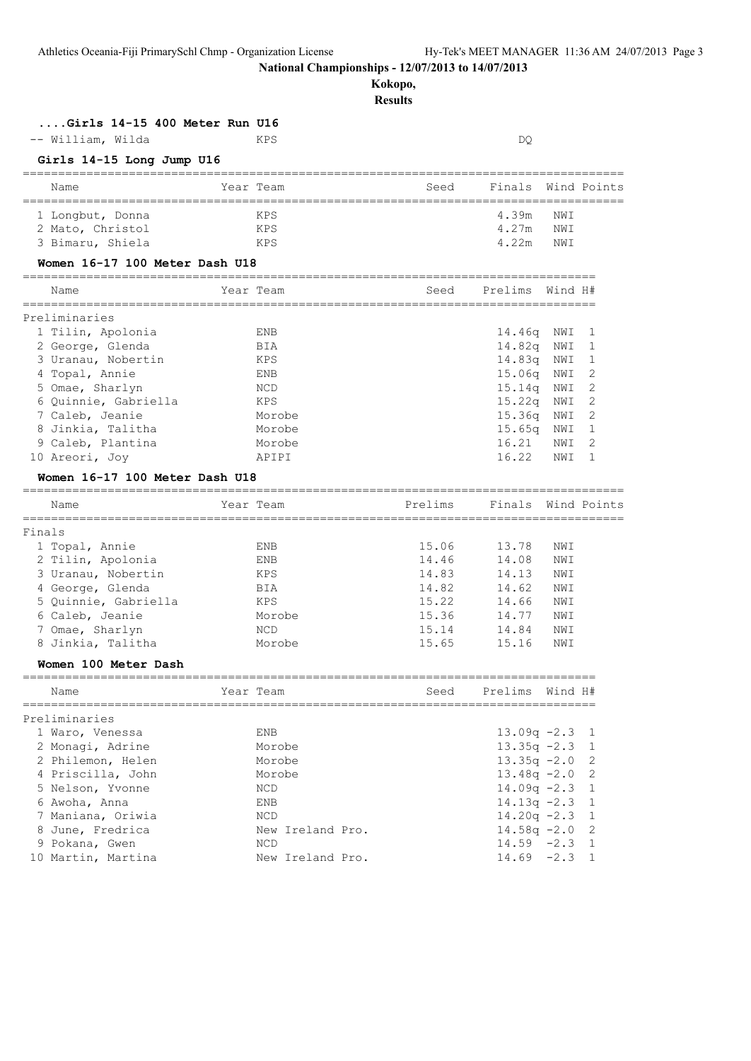# **Kokopo,**

|        | Girls 14-15 400 Meter Run U16                    |                                       |         |                 |         |              |
|--------|--------------------------------------------------|---------------------------------------|---------|-----------------|---------|--------------|
|        | -- William, Wilda                                | KPS                                   |         | DQ.             |         |              |
|        | Girls 14-15 Long Jump U16                        |                                       |         |                 |         |              |
|        | Name                                             | Year Team                             | Seed    | Finals          |         | Wind Points  |
|        | 1 Longbut, Donna                                 | KPS                                   |         | 4.39m           | NWI     |              |
|        | 2 Mato, Christol                                 | KPS                                   |         | 4.27m           | NWI     |              |
|        | 3 Bimaru, Shiela                                 | KPS                                   |         | 4.22m           | NWI     |              |
|        | Women 16-17 100 Meter Dash U18                   |                                       |         |                 |         |              |
|        | Name                                             | Year Team                             | Seed    | Prelims         | Wind H# |              |
|        | ===============================<br>Preliminaries | ===================================== |         |                 |         |              |
|        | 1 Tilin, Apolonia                                | ENB                                   |         | 14.46q          | NWI     | 1            |
|        | 2 George, Glenda                                 | BIA                                   |         | 14.82q          | NWI     | 1            |
|        | 3 Uranau, Nobertin                               | KPS                                   |         | 14.83q          | NWI     | 1            |
|        | 4 Topal, Annie                                   | ENB                                   |         | 15.06q          | NWI     | 2            |
|        | 5 Omae, Sharlyn                                  | NCD                                   |         | 15.14q          | NWI     | 2            |
|        |                                                  | KPS                                   |         | 15.22q          |         | 2            |
|        | 6 Quinnie, Gabriella                             |                                       |         |                 | NWI     |              |
|        | 7 Caleb, Jeanie                                  | Morobe                                |         | 15.36q          | NWI     | 2            |
|        | 8 Jinkia, Talitha                                | Morobe                                |         | 15.65q          | NWI     | 1            |
|        | 9 Caleb, Plantina                                | Morobe                                |         | 16.21           | NWI     | 2            |
|        | 10 Areori, Joy                                   | APIPI                                 |         | 16.22           | NWI     | $\mathbf{1}$ |
|        | Women 16-17 100 Meter Dash U18                   |                                       |         |                 |         |              |
|        | Name                                             | Year Team                             | Prelims | Finals          |         | Wind Points  |
| Finals |                                                  |                                       |         |                 |         |              |
|        | 1 Topal, Annie                                   | ENB                                   | 15.06   | 13.78           | NWI     |              |
|        | 2 Tilin, Apolonia                                | ENB                                   | 14.46   | 14.08           | NWI     |              |
|        | 3 Uranau, Nobertin                               | KPS                                   | 14.83   | 14.13           | NWI     |              |
|        | 4 George, Glenda                                 | BIA                                   | 14.82   | 14.62           | NWI     |              |
|        | 5 Quinnie, Gabriella                             | KPS                                   | 15.22   | 14.66           | NWI     |              |
|        | 6 Caleb, Jeanie                                  | Morobe                                | 15.36   | 14.77           | NWI     |              |
|        | 7 Omae, Sharlyn                                  | <b>NCD</b>                            | 15.14   | 14.84           | NWI     |              |
|        | 8 Jinkia, Talitha                                | Morobe                                | 15.65   | 15.16           | NWI     |              |
|        |                                                  |                                       |         |                 |         |              |
|        | Women 100 Meter Dash                             |                                       |         |                 |         |              |
|        | Name                                             | Year Team                             | Seed    | Prelims Wind H# |         |              |
|        | Preliminaries                                    |                                       |         |                 |         |              |
|        | 1 Waro, Venessa                                  | ENB                                   |         | $13.09q -2.3$   |         | 1            |
|        | 2 Monagi, Adrine                                 | Morobe                                |         | $13.35q -2.3$   |         | 1            |
|        | 2 Philemon, Helen                                | Morobe                                |         | $13.35q -2.0$   |         | $\mathbf{2}$ |
|        | 4 Priscilla, John                                | Morobe                                |         | $13.48q -2.0$   |         | 2            |
|        | 5 Nelson, Yvonne                                 | NCD                                   |         | $14.09q -2.3$   |         | 1            |
|        | 6 Awoha, Anna                                    | ENB                                   |         | $14.13q -2.3$   |         | $\mathbf{1}$ |
|        | 7 Maniana, Oriwia                                | <b>NCD</b>                            |         | $14.20q -2.3$   |         | 1            |
|        | 8 June, Fredrica                                 | New Ireland Pro.                      |         | $14.58q - 2.0$  |         | 2            |
|        | 9 Pokana, Gwen                                   | <b>NCD</b>                            |         | $14.59 - 2.3$   |         | $\mathbf{1}$ |
|        | 10 Martin, Martina                               | New Ireland Pro.                      |         | $14.69 - 2.3 1$ |         |              |
|        |                                                  |                                       |         |                 |         |              |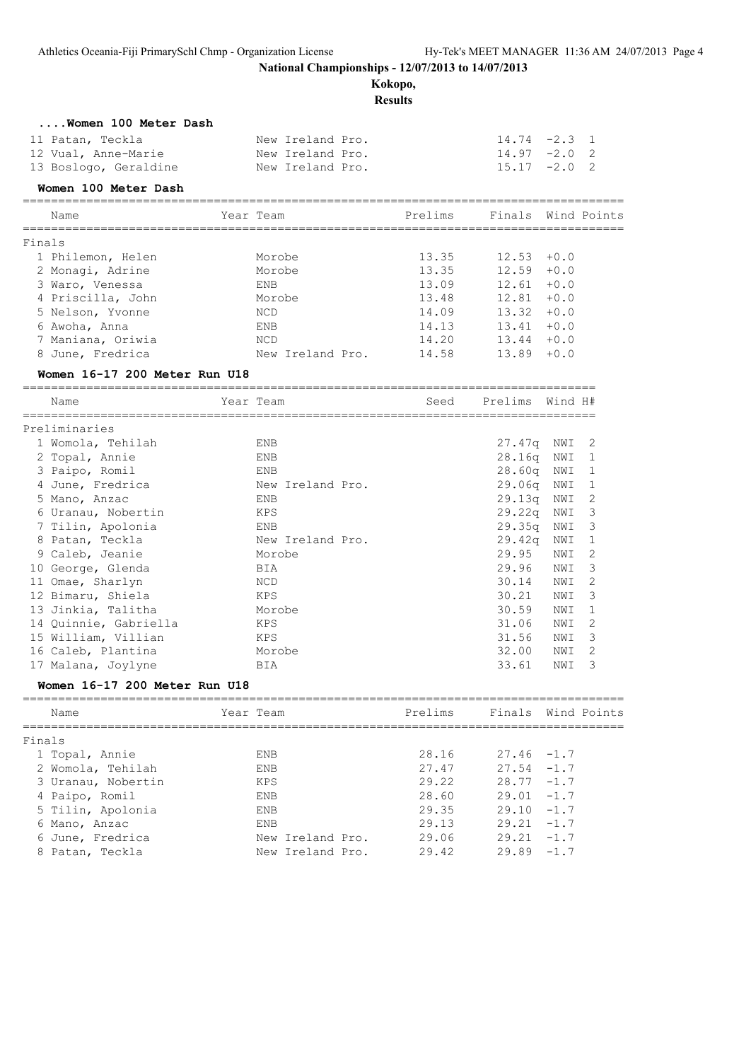**Kokopo,**

**Results**

| Women 100 Meter Dash |  |
|----------------------|--|
|----------------------|--|

| 11 Patan, Teckla      | New Ireland Pro. | $14.74 - 2.3$ 1 |  |
|-----------------------|------------------|-----------------|--|
| 12 Vual, Anne-Marie   | New Ireland Pro. | $14.97 -2.0$ 2  |  |
| 13 Boslogo, Geraldine | New Ireland Pro. | $15.17 -2.0$ 2  |  |

# **Women 100 Meter Dash**

===================================================================================== Name Team Team Prelims Finals Wind Points

| Finals            |                  |       |               |  |
|-------------------|------------------|-------|---------------|--|
| 1 Philemon, Helen | Morobe           | 13.35 | $12.53 + 0.0$ |  |
| 2 Monagi, Adrine  | Morobe           | 13.35 | $12.59 + 0.0$ |  |
| 3 Waro, Venessa   | ENB              | 13.09 | $12.61 + 0.0$ |  |
| 4 Priscilla, John | Morobe           | 13.48 | $12.81 + 0.0$ |  |
| 5 Nelson, Yvonne  | NCD.             | 14.09 | $13.32 + 0.0$ |  |
| 6 Awoha, Anna     | ENB              | 14.13 | $13.41 + 0.0$ |  |
| 7 Maniana, Oriwia | <b>NCD</b>       | 14.20 | $13.44 + 0.0$ |  |
| 8 June, Fredrica  | New Ireland Pro. | 14.58 | $13.89 + 0.0$ |  |

#### **Women 16-17 200 Meter Run U18**

| Name                  | Year Team        | Seed | Prelims | Wind H# |               |
|-----------------------|------------------|------|---------|---------|---------------|
| Preliminaries         |                  |      |         |         |               |
| 1 Womola, Tehilah     | ENB              |      | 27.47q  | NWI     | -2            |
| 2 Topal, Annie        | ENB              |      | 28.16q  | NWI     | -1            |
| 3 Paipo, Romil        | ENB              |      | 28.60q  | NWI     | -1            |
| 4 June, Fredrica      | New Ireland Pro. |      | 29.06a  | NWI     | 1             |
| 5 Mano, Anzac         | ENB              |      | 29.13q  | NWI     | 2             |
| 6 Uranau, Nobertin    | KPS              |      | 29.22q  | NWI     | -3            |
| 7 Tilin, Apolonia     | ENB              |      | 29.35q  | NWI     | 3             |
| 8 Patan, Teckla       | New Ireland Pro. |      | 29.42q  | NWI     | 1             |
| 9 Caleb, Jeanie       | Morobe           |      | 29.95   | NWI     | 2             |
| 10 George, Glenda     | BIA              |      | 29.96   | NWI     | 3             |
| 11 Omae, Sharlyn      | NCD              |      | 30.14   | NWI     | 2             |
| 12 Bimaru, Shiela     | KPS              |      | 30.21   | NWI     | 3             |
| 13 Jinkia, Talitha    | Morobe           |      | 30.59   | NWI     | $\mathbf{1}$  |
| 14 Ouinnie, Gabriella | KPS              |      | 31.06   | NWI     | $\mathcal{L}$ |
| 15 William, Villian   | KPS              |      | 31.56   | NWI     | 3             |
| 16 Caleb, Plantina    | Morobe           |      | 32.00   | NWI     | 2             |
| 17 Malana, Joylyne    | BIA              |      | 33.61   | NWI     | 3             |

#### **Women 16-17 200 Meter Run U18**

| Name               | Year Team        | Prelims |               | Finals Wind Points |
|--------------------|------------------|---------|---------------|--------------------|
| Finals             |                  |         |               |                    |
| 1 Topal, Annie     | <b>ENB</b>       | 28.16   | $27.46 - 1.7$ |                    |
| 2 Womola, Tehilah  | <b>ENB</b>       | 27.47   | $27.54 - 1.7$ |                    |
| 3 Uranau, Nobertin | <b>KPS</b>       | 29.22   | $28.77 - 1.7$ |                    |
| 4 Paipo, Romil     | <b>ENB</b>       | 28.60   | $29.01 - 1.7$ |                    |
| 5 Tilin, Apolonia  | <b>ENB</b>       | 29.35   | $29.10 - 1.7$ |                    |
| 6 Mano, Anzac      | <b>ENB</b>       | 29.13   | $29.21 - 1.7$ |                    |
| 6 June, Fredrica   | New Ireland Pro. | 29.06   | $29.21 - 1.7$ |                    |
| 8 Patan, Teckla    | New Ireland Pro. | 29.42   | $29.89 - 1.7$ |                    |
|                    |                  |         |               |                    |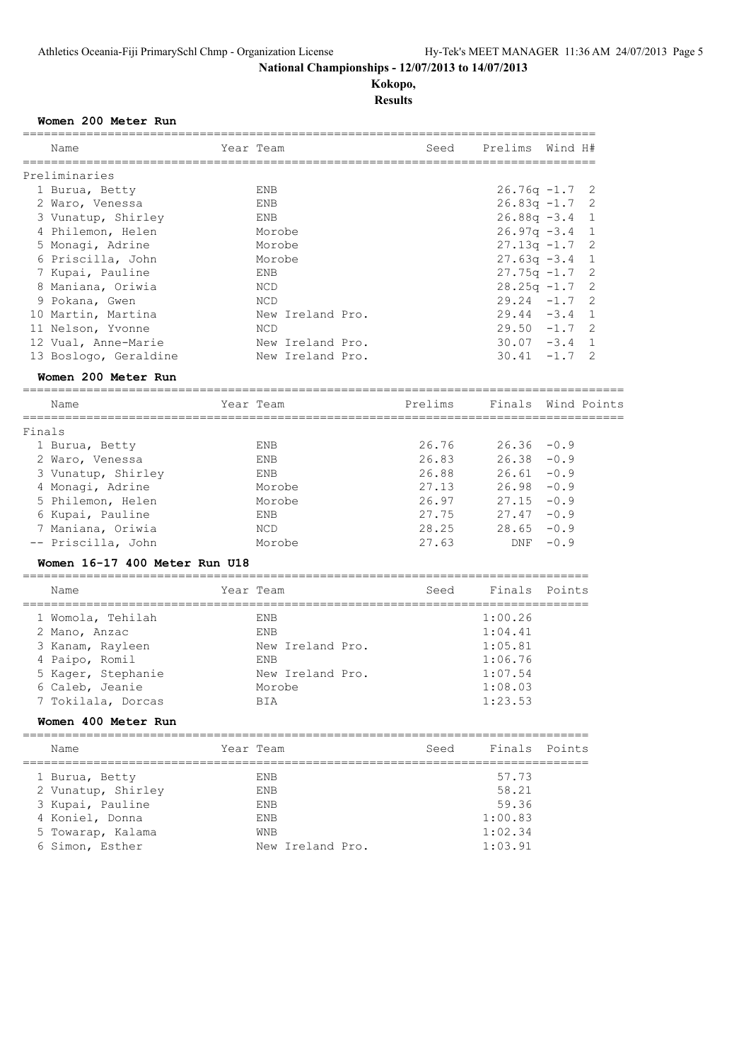# **Kokopo, Results**

#### **Women 200 Meter Run**

| Name                  | Year Team        | Seed Prelims Wind H# |
|-----------------------|------------------|----------------------|
| Preliminaries         |                  |                      |
| 1 Burua, Betty        | ENB              | $26.76q - 1.7$ 2     |
| 2 Waro, Venessa       | ENB              | $26.83q -1.7$ 2      |
| 3 Vunatup, Shirley    | ENB              | $26.88q - 3.4$ 1     |
| 4 Philemon, Helen     | Morobe           | $26.97q - 3.4$ 1     |
| 5 Monagi, Adrine      | Morobe           | $27.13q - 1.7$ 2     |
| 6 Priscilla, John     | Morobe           | $27.63q -3.4$ 1      |
| 7 Kupai, Pauline      | ENB              | $27.75q - 1.7$ 2     |
| 8 Maniana, Oriwia     | NCD              | $28.25q - 1.7$ 2     |
| 9 Pokana, Gwen        | NCD              | $29.24 -1.7$ 2       |
| 10 Martin, Martina    | New Ireland Pro. | $29.44 - 3.4$ 1      |
| 11 Nelson, Yvonne     | NCD              | $29.50 -1.7$ 2       |
| 12 Vual, Anne-Marie   | New Ireland Pro. | $30.07 - 3.4$ 1      |
| 13 Boslogo, Geraldine | New Ireland Pro. | $30.41 -1.7$ 2       |

# **Women 200 Meter Run**

| Name               | Year Team   | Prelims |               | Finals Wind Points |
|--------------------|-------------|---------|---------------|--------------------|
| Finals             |             |         |               |                    |
| 1 Burua, Betty     | <b>ENB</b>  | 26.76   | $26.36 - 0.9$ |                    |
| 2 Waro, Venessa    | <b>F.NB</b> | 26.83   | 26.38         | $-0.9$             |
| 3 Vunatup, Shirley | ENB         | 26.88   | 26.61         | $-0.9$             |
| 4 Monagi, Adrine   | Morobe      | 27.13   | 26.98         | $-0.9$             |
| 5 Philemon, Helen  | Morobe      | 26.97   | 27.15         | $-0.9$             |
| 6 Kupai, Pauline   | ENB         | 27.75   | 27.47         | $-0.9$             |
| 7 Maniana, Oriwia  | <b>NCD</b>  | 28.25   | 28.65         | $-0.9$             |
| -- Priscilla, John | Morobe      | 27.63   | <b>DNF</b>    | $-0.9$             |
|                    |             |         |               |                    |

#### **Women 16-17 400 Meter Run U18**

| Name               | Year Team        | Seed | Finals Points |  |
|--------------------|------------------|------|---------------|--|
| 1 Womola, Tehilah  | ENB              |      | 1:00.26       |  |
| 2 Mano, Anzac      | ENB              |      | 1:04.41       |  |
| 3 Kanam, Rayleen   | New Ireland Pro. |      | 1:05.81       |  |
| 4 Paipo, Romil     | ENB              |      | 1:06.76       |  |
| 5 Kager, Stephanie | New Ireland Pro. |      | 1:07.54       |  |
| 6 Caleb, Jeanie    | Morobe           |      | 1:08.03       |  |
| 7 Tokilala, Dorcas | BIA              |      | 1:23.53       |  |
|                    |                  |      |               |  |

#### **Women 400 Meter Run**

| Name               | Year Team        | Seed    | Finals Points |
|--------------------|------------------|---------|---------------|
| 1 Burua, Betty     | <b>ENB</b>       | 57.73   |               |
| 2 Vunatup, Shirley | <b>ENB</b>       | 58.21   |               |
| 3 Kupai, Pauline   | <b>ENB</b>       | 59.36   |               |
| 4 Koniel, Donna    | <b>ENB</b>       | 1:00.83 |               |
| 5 Towarap, Kalama  | <b>WNB</b>       | 1:02.34 |               |
| 6 Simon, Esther    | New Ireland Pro. | 1:03.91 |               |
|                    |                  |         |               |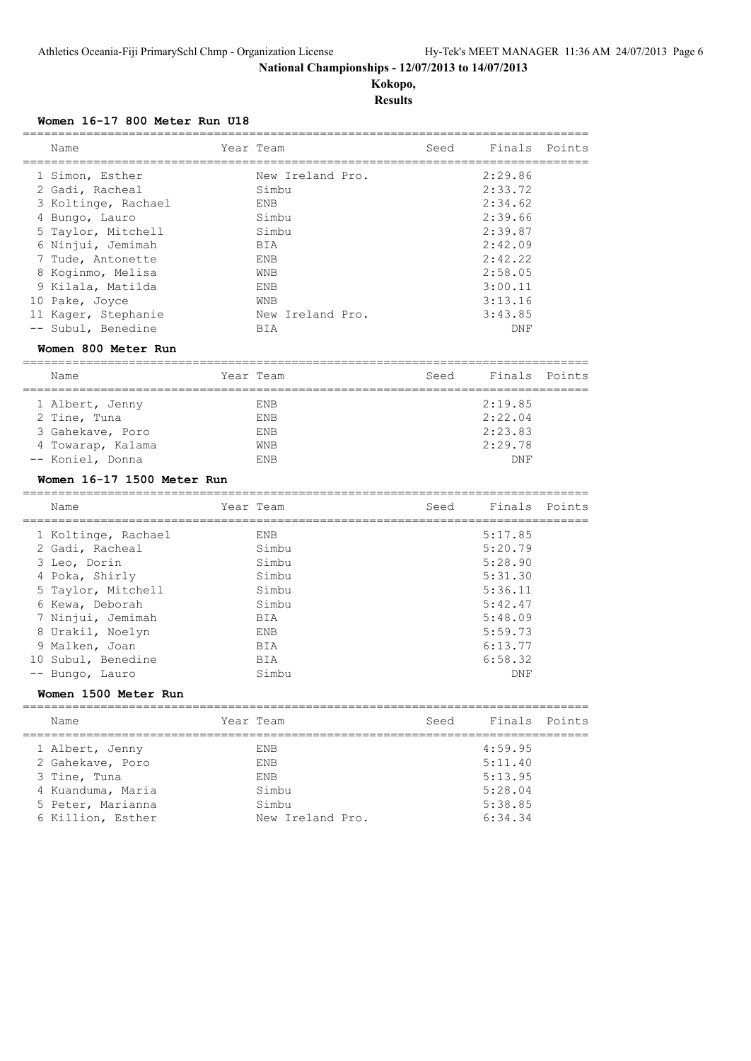**Kokopo, Results**

#### **Women 16-17 800 Meter Run U18**

| Name                | Year Team        | Seed | Finals Points |  |
|---------------------|------------------|------|---------------|--|
|                     |                  |      |               |  |
| 1 Simon, Esther     | New Ireland Pro. |      | 2:29.86       |  |
| 2 Gadi, Racheal     | Simbu            |      | 2:33.72       |  |
| 3 Koltinge, Rachael | ENB              |      | 2:34.62       |  |
| 4 Bungo, Lauro      | Simbu            |      | 2:39.66       |  |
| 5 Taylor, Mitchell  | Simbu            |      | 2:39.87       |  |
| 6 Ninjui, Jemimah   | BIA              |      | 2:42.09       |  |
| 7 Tude, Antonette   | ENB              |      | 2:42.22       |  |
| 8 Koginmo, Melisa   | <b>WNB</b>       |      | 2:58.05       |  |
| 9 Kilala, Matilda   | ENB              |      | 3:00.11       |  |
| 10 Pake, Joyce      | <b>WNB</b>       |      | 3:13.16       |  |
| 11 Kager, Stephanie | New Ireland Pro. |      | 3:43.85       |  |
| -- Subul, Benedine  | BIA              |      | DNF           |  |
|                     |                  |      |               |  |

#### **Women 800 Meter Run**

| Name              | Year Team  | Finals Points<br>Seed |  |
|-------------------|------------|-----------------------|--|
| 1 Albert, Jenny   | <b>ENB</b> | 2:19.85               |  |
| 2 Tine, Tuna      | <b>ENB</b> | 2:22.04               |  |
| 3 Gahekave, Poro  | <b>ENB</b> | 2:23.83               |  |
| 4 Towarap, Kalama | <b>WNB</b> | 2:29.78               |  |
| -- Koniel, Donna  | <b>ENB</b> | <b>DNF</b>            |  |

================================================================================

#### **Women 16-17 1500 Meter Run**

|    | Name                | Year Team | Seed | Finals Points |  |
|----|---------------------|-----------|------|---------------|--|
|    | 1 Koltinge, Rachael | ENB       |      | 5:17.85       |  |
|    | 2 Gadi, Racheal     | Simbu     |      | 5:20.79       |  |
|    | 3 Leo, Dorin        | Simbu     |      | 5:28.90       |  |
|    | 4 Poka, Shirly      | Simbu     |      | 5:31.30       |  |
|    | 5 Taylor, Mitchell  | Simbu     |      | 5:36.11       |  |
|    | 6 Kewa, Deborah     | Simbu     |      | 5:42.47       |  |
|    | 7 Ninjui, Jemimah   | BIA       |      | 5:48.09       |  |
|    | 8 Urakil, Noelyn    | ENB       |      | 5:59.73       |  |
|    | 9 Malken, Joan      | BIA       |      | 6:13.77       |  |
| 10 | Subul, Benedine     | BIA       |      | 6:58.32       |  |
|    | -- Bungo, Lauro     | Simbu     |      | DNF           |  |

# **Women 1500 Meter Run**

| Name              | Year Team        | Seed | Finals Points |  |
|-------------------|------------------|------|---------------|--|
| 1 Albert, Jenny   | ENB              |      | 4:59.95       |  |
| 2 Gahekave, Poro  | <b>ENB</b>       |      | 5:11.40       |  |
| 3 Tine, Tuna      | <b>ENB</b>       |      | 5:13.95       |  |
| 4 Kuanduma, Maria | Simbu            |      | 5:28.04       |  |
| 5 Peter, Marianna | Simbu            |      | 5:38.85       |  |
| 6 Killion, Esther | New Ireland Pro. |      | 6:34.34       |  |
|                   |                  |      |               |  |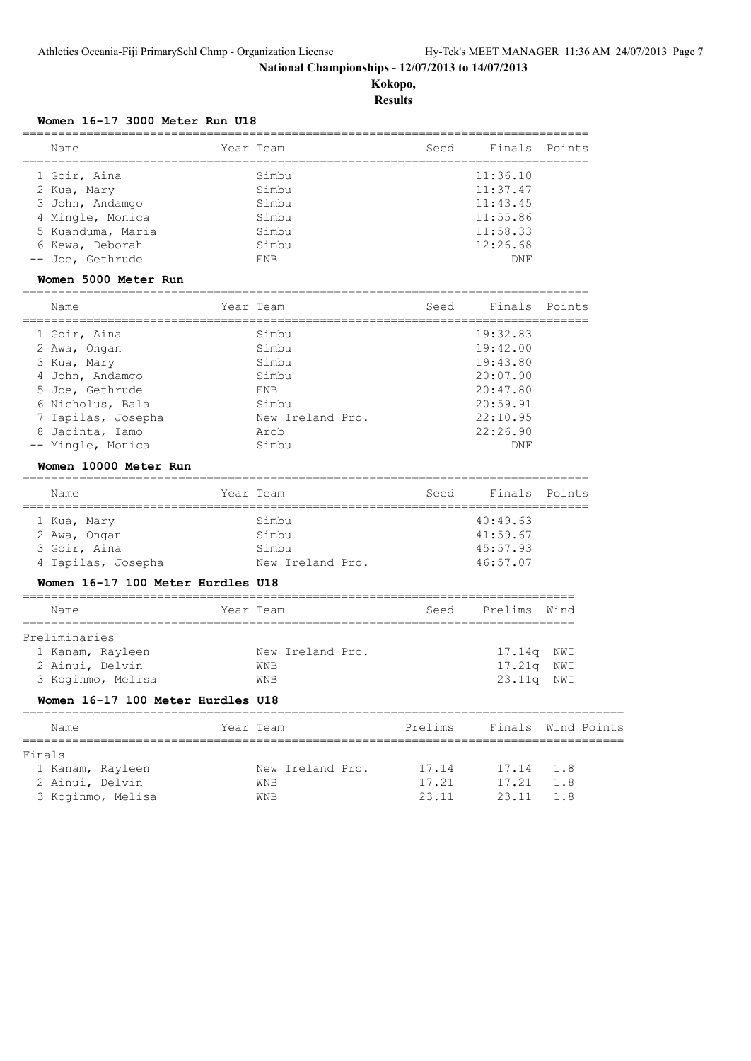**Kokopo, Results**

# **Women 16-17 3000 Meter Run U18**

| Name                              | Year Team                            | Seed                                    | Finals   | Points      |
|-----------------------------------|--------------------------------------|-----------------------------------------|----------|-------------|
| 1 Goir, Aina                      | Simbu                                |                                         | 11:36.10 |             |
| 2 Kua, Mary                       | Simbu                                |                                         | 11:37.47 |             |
| 3 John, Andamgo                   | Simbu                                |                                         | 11:43.45 |             |
| 4 Mingle, Monica                  | Simbu                                |                                         | 11:55.86 |             |
| 5 Kuanduma, Maria                 | Simbu                                |                                         | 11:58.33 |             |
| 6 Kewa, Deborah                   | Simbu                                |                                         | 12:26.68 |             |
| -- Joe, Gethrude                  | ENB                                  |                                         | DNF      |             |
| Women 5000 Meter Run              |                                      |                                         |          |             |
| Name                              | Year Team                            | Seed                                    | Finals   | Points      |
| 1 Goir, Aina                      | Simbu                                |                                         | 19:32.83 |             |
| 2 Awa, Ongan                      | Simbu                                |                                         | 19:42.00 |             |
| 3 Kua, Mary                       | Simbu                                |                                         | 19:43.80 |             |
| 4 John, Andamgo                   | Simbu                                |                                         | 20:07.90 |             |
| 5 Joe, Gethrude                   | ENB                                  |                                         | 20:47.80 |             |
| 6 Nicholus, Bala                  | Simbu                                |                                         | 20:59.91 |             |
| 7 Tapilas, Josepha                | New Ireland Pro.                     |                                         | 22:10.95 |             |
| 8 Jacinta, Iamo                   | Arob                                 |                                         | 22:26.90 |             |
| -- Mingle, Monica                 | Simbu                                |                                         | DNF      |             |
| Women 10000 Meter Run             |                                      |                                         |          |             |
| Name<br>=====================     | Year Team<br>======================= | Seed<br>_______________________________ | Finals   | Points      |
| 1 Kua, Mary                       | Simbu                                |                                         | 40:49.63 |             |
| 2 Awa, Ongan                      | Simbu                                |                                         | 41:59.67 |             |
| 3 Goir, Aina                      | Simbu                                |                                         | 45:57.93 |             |
| 4 Tapilas, Josepha                | New Ireland Pro.                     |                                         | 46:57.07 |             |
| Women 16-17 100 Meter Hurdles U18 |                                      |                                         |          |             |
| Name<br>========================= | Year Team                            | Seed                                    | Prelims  | Wind        |
| Preliminaries                     |                                      |                                         |          |             |
| 1 Kanam, Rayleen                  | New Ireland Pro.                     |                                         | 17.14q   | NWI         |
| 2 Ainui, Delvin                   | WNB                                  |                                         | 17.21q   | NWI         |
| 3 Koginmo, Melisa                 | WNB                                  |                                         | 23.11q   | NWI         |
| Women 16-17 100 Meter Hurdles U18 |                                      |                                         |          |             |
| Name                              | Year Team                            | Prelims                                 | Finals   | Wind Points |
| Finals                            |                                      |                                         |          |             |
|                                   |                                      |                                         |          |             |
| 1 Kanam, Rayleen                  | New Ireland Pro.                     | 17.14                                   | 17.14    | 1.8         |
| 2 Ainui, Delvin                   | WNB                                  | 17.21                                   | 17.21    | 1.8         |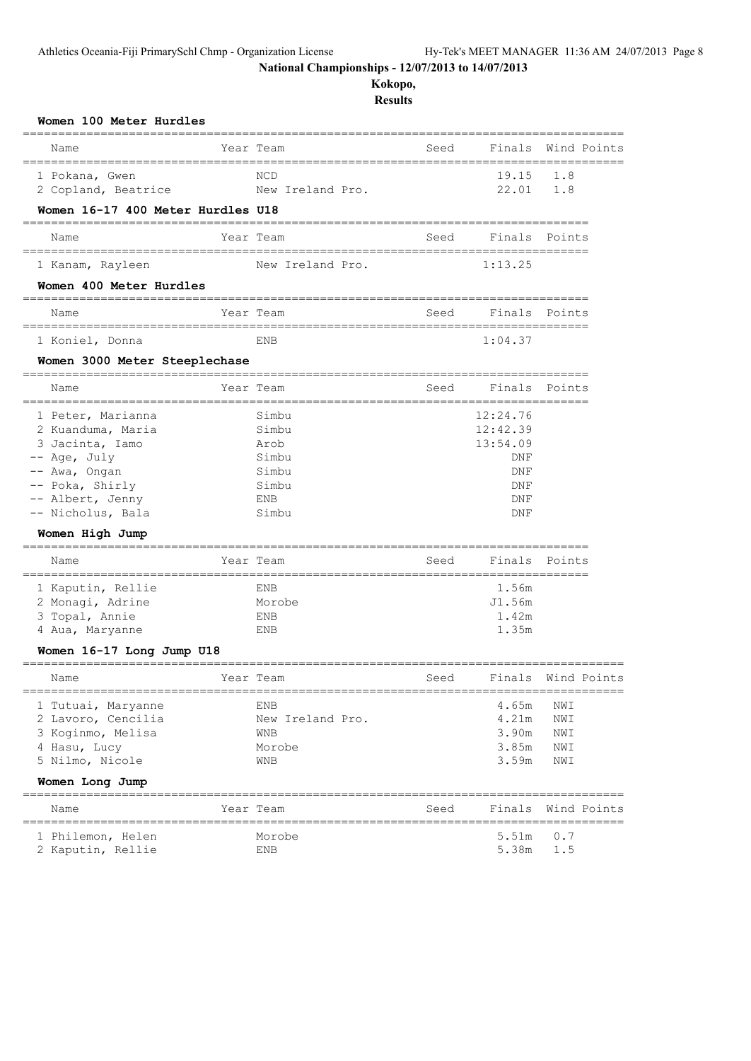**Kokopo,**

| Women 100 Meter Hurdles                                                                                                                                                           |           |                                                                                |      |                                                                               |                                 |             |
|-----------------------------------------------------------------------------------------------------------------------------------------------------------------------------------|-----------|--------------------------------------------------------------------------------|------|-------------------------------------------------------------------------------|---------------------------------|-------------|
| Name                                                                                                                                                                              |           | Year Team                                                                      | Seed | Finals Wind Points                                                            |                                 |             |
| 1 Pokana, Gwen<br>2 Copland, Beatrice                                                                                                                                             |           | NCD<br>New Ireland Pro.                                                        |      | 19.15<br>22.01                                                                | 1.8<br>1.8                      |             |
| Women 16-17 400 Meter Hurdles U18                                                                                                                                                 |           |                                                                                |      |                                                                               |                                 |             |
| Name                                                                                                                                                                              |           | Year Team                                                                      | Seed | Finals Points                                                                 |                                 |             |
| l Kanam, Rayleen                                                                                                                                                                  |           | New Ireland Pro.                                                               |      | 1:13.25                                                                       |                                 |             |
| Women 400 Meter Hurdles                                                                                                                                                           |           |                                                                                |      |                                                                               |                                 |             |
| Name                                                                                                                                                                              |           | Year Team                                                                      | Seed | Finals Points                                                                 |                                 |             |
| 1 Koniel, Donna                                                                                                                                                                   |           | ENB                                                                            |      | 1:04.37                                                                       |                                 |             |
| Women 3000 Meter Steeplechase                                                                                                                                                     |           |                                                                                |      |                                                                               |                                 |             |
| Name                                                                                                                                                                              |           | Year Team                                                                      | Seed | Finals                                                                        | Points                          |             |
| 1 Peter, Marianna<br>2 Kuanduma, Maria<br>3 Jacinta, Iamo<br>-- Age, July<br>-- Awa, Ongan<br>-- Poka, Shirly<br>-- Albert, Jenny<br>-- Nicholus, Bala<br>Women High Jump<br>Name |           | Simbu<br>Simbu<br>Arob<br>Simbu<br>Simbu<br>Simbu<br>ENB<br>Simbu<br>Year Team | Seed | 12:24.76<br>12:42.39<br>13:54.09<br>DNF<br>DNF<br>DNF<br>DNF<br>DNF<br>Finals | Points                          |             |
| 1 Kaputin, Rellie<br>2 Monagi, Adrine<br>3 Topal, Annie<br>4 Aua, Maryanne<br>Women 16-17 Long Jump U18                                                                           |           | ENB<br>Morobe<br>ENB<br>ENB                                                    |      | 1.56m<br>J1.56m<br>1.42m<br>1.35m                                             |                                 |             |
|                                                                                                                                                                                   |           |                                                                                |      |                                                                               |                                 |             |
| Name<br>1 Tutuai, Maryanne<br>2 Lavoro, Cencilia<br>3 Koginmo, Melisa<br>4 Hasu, Lucy<br>5 Nilmo, Nicole<br>Women Long Jump                                                       | Year Team | <b>ENB</b><br>New Ireland Pro.<br>WNB<br>Morobe<br>WNB                         | Seed | Finals Wind Points<br>4.65m<br>4.21m<br>3.90m<br>3.85m<br>3.59m               | NWI<br>NWI<br>NWI<br>NWI<br>NWI |             |
| Name                                                                                                                                                                              |           | Year Team                                                                      | Seed | Finals                                                                        |                                 | Wind Points |
| 1 Philemon, Helen<br>2 Kaputin, Rellie                                                                                                                                            |           | Morobe<br>ENB                                                                  |      | 5.51m<br>5.38m                                                                | 0.7<br>1.5                      |             |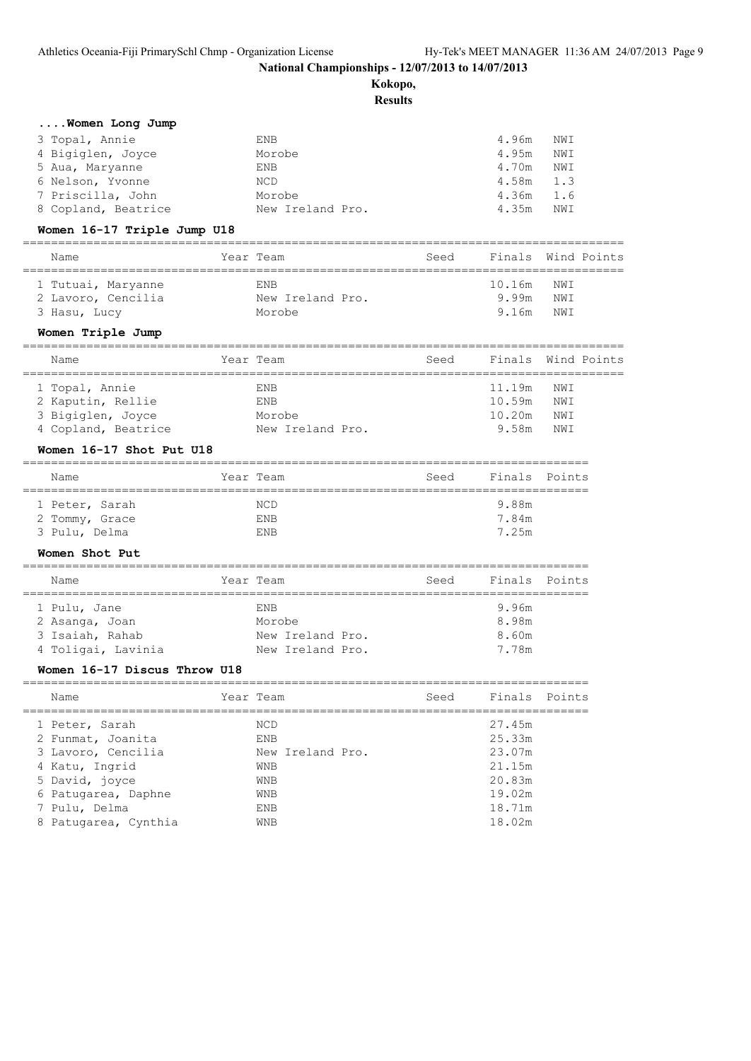**Kokopo,**

**Results**

|  |  |  |  | Women Long Jump |  |  |
|--|--|--|--|-----------------|--|--|
|--|--|--|--|-----------------|--|--|

| 3 Topal, Annie      | ENB              | 4.96m<br>NWI |  |
|---------------------|------------------|--------------|--|
| 4 Bigiglen, Joyce   | Morobe           | 4.95m<br>NWI |  |
| 5 Aua, Maryanne     | ENB              | 4.70m<br>NWI |  |
| 6 Nelson, Yvonne    | NCD              | $4.58m$ 1.3  |  |
| 7 Priscilla, John   | Morobe           | $4.36m$ 1.6  |  |
| 8 Copland, Beatrice | New Ireland Pro. | 4.35m<br>NWI |  |

# **Women 16-17 Triple Jump U18**

| Name               | Year Team        | Seed | Finals Wind Points |      |  |
|--------------------|------------------|------|--------------------|------|--|
|                    |                  |      |                    |      |  |
| 1 Tutuai, Maryanne | <b>ENB</b>       |      | 10.16m NWI         |      |  |
| 2 Lavoro, Cencilia | New Ireland Pro. |      | 9.99m              | NWI  |  |
| 3 Hasu, Lucy       | Morobe           |      | 9.16m              | NW T |  |

# **Women Triple Jump**

| Name                | Year Team        | Seed | Finals Wind Points |     |  |
|---------------------|------------------|------|--------------------|-----|--|
|                     |                  |      |                    |     |  |
| 1 Topal, Annie      | <b>ENB</b>       |      | 11.19m NWI         |     |  |
| 2 Kaputin, Rellie   | <b>ENB</b>       |      | 10.59m             | NWI |  |
| 3 Bigiglen, Joyce   | Morobe           |      | 10.20m             | NWI |  |
| 4 Copland, Beatrice | New Ireland Pro. |      | 9.58m              | NWI |  |

# **Women 16-17 Shot Put U18**

| Name           | Year Team  | Seed |       | Finals Points |
|----------------|------------|------|-------|---------------|
|                |            |      |       |               |
| 1 Peter, Sarah | NCD.       |      | 9.88m |               |
| 2 Tommy, Grace | <b>ENB</b> |      | 7.84m |               |
| 3 Pulu, Delma  | F.NR       |      | 7 25m |               |

# **Women Shot Put**

| Name               | Year Team        | Seed | Finals Points |  |
|--------------------|------------------|------|---------------|--|
| 1 Pulu, Jane       | <b>FNB</b>       |      | 9.96m         |  |
| 2 Asanga, Joan     | Morobe           |      | 8.98m         |  |
| 3 Isaiah, Rahab    | New Ireland Pro. |      | 8.60m         |  |
| 4 Toligai, Lavinia | New Ireland Pro. |      | 7.78m         |  |

# **Women 16-17 Discus Throw U18**

| Name                 | Year Team        | Seed | Finals Points |  |
|----------------------|------------------|------|---------------|--|
| 1 Peter, Sarah       | NCD              |      | 27.45m        |  |
| 2 Funmat, Joanita    | <b>ENB</b>       |      | 25.33m        |  |
| 3 Lavoro, Cencilia   | New Ireland Pro. |      | 23.07m        |  |
| 4 Katu, Ingrid       | <b>WNB</b>       |      | 21.15m        |  |
| 5 David, joyce       | <b>WNB</b>       |      | 20.83m        |  |
| 6 Patugarea, Daphne  | <b>WNB</b>       |      | 19.02m        |  |
| 7 Pulu, Delma        | <b>ENB</b>       |      | 18.71m        |  |
| 8 Patugarea, Cynthia | <b>WNB</b>       |      | 18.02m        |  |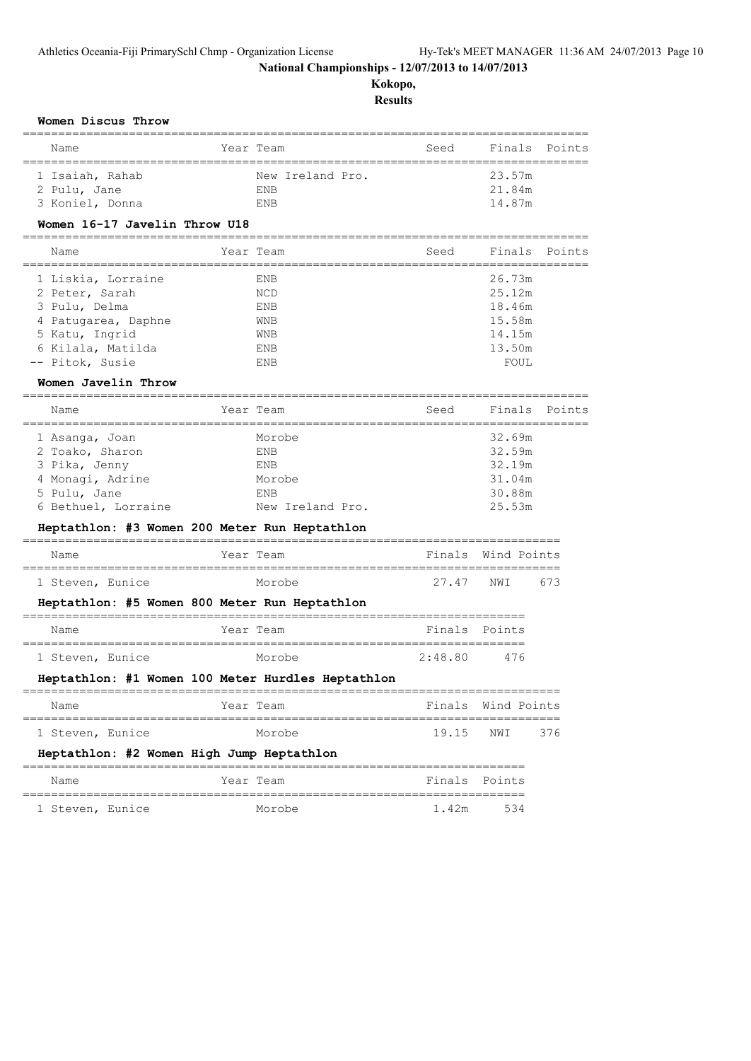**Kokopo,**

| Women Discus Throw                                                   |                                     |                                           |                    |        |
|----------------------------------------------------------------------|-------------------------------------|-------------------------------------------|--------------------|--------|
| Name                                                                 | Year Team<br>====================== | Seed<br>--------------------------------- | Finals             | Points |
| 1 Isaiah, Rahab                                                      | New Ireland Pro.                    |                                           | 23.57m             |        |
| 2 Pulu, Jane                                                         | ENB                                 |                                           | 21.84m             |        |
| 3 Koniel, Donna                                                      | ENB                                 |                                           | 14.87m             |        |
| Women 16-17 Javelin Throw U18<br>___________________________________ |                                     |                                           |                    |        |
| Name<br>======================                                       | Year Team<br>==============         | Seed<br>============================      | Finals             | Points |
| 1 Liskia, Lorraine                                                   | ENB                                 |                                           | 26.73m             |        |
| 2 Peter, Sarah                                                       | NCD                                 |                                           | 25.12m             |        |
| 3 Pulu, Delma                                                        | ENB                                 |                                           | 18.46m             |        |
| 4 Patugarea, Daphne                                                  | WNB                                 |                                           | 15.58m             |        |
| 5 Katu, Ingrid<br>6 Kilala, Matilda                                  | WNB                                 |                                           | 14.15m             |        |
| -- Pitok, Susie                                                      | ENB<br>ENB                          |                                           | 13.50m<br>FOUL     |        |
| Women Javelin Throw                                                  |                                     |                                           |                    |        |
| ===================================<br>Name                          | Year Team                           | Seed                                      | Finals             | Points |
|                                                                      |                                     | ========================                  |                    |        |
| 1 Asanga, Joan                                                       | Morobe                              |                                           | 32.69m             |        |
| 2 Toako, Sharon<br>3 Pika, Jenny                                     | ENB<br>ENB                          |                                           | 32.59m<br>32.19m   |        |
| 4 Monagi, Adrine                                                     | Morobe                              |                                           | 31.04m             |        |
| 5 Pulu, Jane                                                         | ENB                                 |                                           | 30.88m             |        |
| 6 Bethuel, Lorraine                                                  | New Ireland Pro.                    |                                           | 25.53m             |        |
| Heptathlon: #3 Women 200 Meter Run Heptathlon                        |                                     |                                           |                    |        |
| Name                                                                 | Year Team                           |                                           | Finals Wind Points |        |
| 1 Steven, Eunice                                                     | =================<br>Morobe         | 27.47                                     | NWI                | 673    |
| Heptathlon: #5 Women 800 Meter Run Heptathlon                        | =============                       | ==================                        |                    |        |
| Name                                                                 | Year Team                           | Finals                                    | Points             |        |
| 1 Steven, Eunice                                                     | Morobe                              | 2:48.80                                   | 476                |        |
| Heptathlon: #1 Women 100 Meter Hurdles Heptathlon                    |                                     |                                           |                    |        |
| Name                                                                 | Year Team                           |                                           | Finals Wind Points |        |
| 1 Steven, Eunice                                                     | Morobe                              | 19.15                                     | NWI                | 376    |
| Heptathlon: #2 Women High Jump Heptathlon                            |                                     |                                           |                    |        |
| Name                                                                 | Year Team                           |                                           | Finals Points      |        |
| 1 Steven, Eunice                                                     | Morobe                              | 1.42m                                     | 534                |        |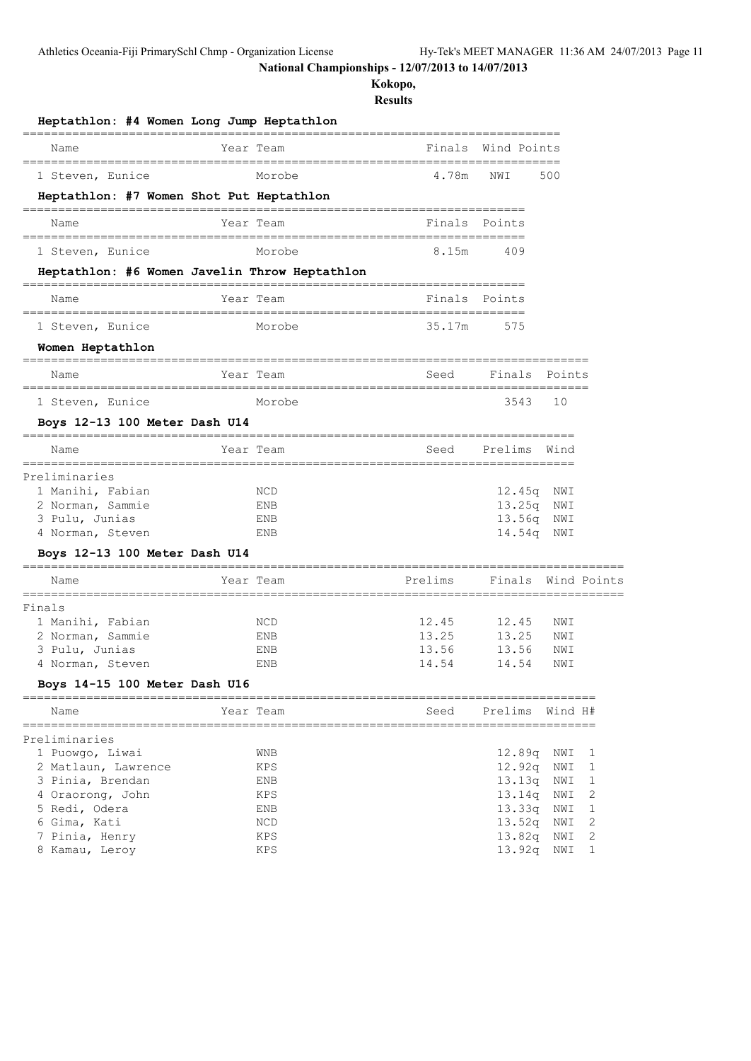**Kokopo,**

| Heptathlon: #4 Women Long Jump Heptathlon      |                             |                         |                                       |                                          |            |   |
|------------------------------------------------|-----------------------------|-------------------------|---------------------------------------|------------------------------------------|------------|---|
| Name<br>====================================== |                             | Year Team               | ____________________________          | ==================<br>Finals Wind Points |            |   |
| 1 Steven, Eunice                               |                             | Morobe                  | 4.78m                                 | NWI                                      | 500        |   |
| Heptathlon: #7 Women Shot Put Heptathlon       |                             |                         |                                       |                                          |            |   |
| Name                                           |                             | Year Team               | Finals Points                         |                                          |            |   |
| 1 Steven, Eunice                               |                             | Morobe                  | 8.15m                                 | 409                                      |            |   |
| Heptathlon: #6 Women Javelin Throw Heptathlon  |                             |                         |                                       |                                          |            |   |
| Name                                           |                             | Year Team               | Finals                                | Points                                   |            |   |
| 1 Steven, Eunice                               |                             | Morobe                  | 35.17m                                | 575                                      |            |   |
| Women Heptathlon                               |                             |                         |                                       |                                          |            |   |
| Name                                           |                             | =======<br>Year Team    | Seed                                  | Finals                                   | Points     |   |
| 1 Steven, Eunice                               |                             | Morobe                  |                                       | 3543                                     | 10         |   |
| Boys 12-13 100 Meter Dash U14                  |                             |                         |                                       |                                          |            |   |
| Name                                           |                             | ==========<br>Year Team | Seed                                  | Prelims                                  | Wind       |   |
| Preliminaries                                  |                             |                         |                                       |                                          |            |   |
| 1 Manihi, Fabian                               |                             | NCD                     |                                       | 12.45q                                   | NWI        |   |
| 2 Norman, Sammie                               |                             | ENB                     |                                       | 13.25q                                   | NWI        |   |
| 3 Pulu, Junias<br>4 Norman, Steven             |                             | ENB<br>ENB              |                                       | 13.56q<br>14.54q                         | NWI<br>NWI |   |
| Boys 12-13 100 Meter Dash U14                  |                             |                         |                                       |                                          |            |   |
| Name                                           | ==============<br>Year Team |                         | Prelims                               | Finals Wind Points                       |            |   |
|                                                |                             |                         | ===================================== |                                          |            |   |
| Finals<br>1 Manihi, Fabian                     |                             | NCD                     | 12.45                                 | 12.45                                    | NWI        |   |
| 2 Norman, Sammie                               |                             | ENB                     | 13.25                                 | 13.25                                    | NWI        |   |
| 3 Pulu, Junias                                 |                             | ENB                     | 13.56                                 | 13.56                                    | NWI        |   |
| 4 Norman, Steven                               |                             | ENB                     | 14.54                                 | 14.54                                    | NWI        |   |
| Boys 14-15 100 Meter Dash U16                  |                             |                         |                                       |                                          |            |   |
| Name                                           |                             | Year Team               | Seed                                  | Prelims                                  | Wind H#    |   |
| Preliminaries                                  |                             |                         |                                       |                                          |            |   |
| 1 Puowgo, Liwai                                |                             | WNB                     |                                       | 12.89q                                   | NWI        | ı |
| 2 Matlaun, Lawrence                            |                             | KPS                     |                                       | 12.92q                                   | NWI        | 1 |
| 3 Pinia, Brendan                               |                             | ENB                     |                                       | 13.13q                                   | NWI        | 1 |
| 4 Oraorong, John                               |                             | KPS                     |                                       | 13.14q                                   | NWI        | 2 |
| 5 Redi, Odera                                  |                             | ENB                     |                                       | 13.33q                                   | NWI        | 1 |
| 6 Gima, Kati                                   |                             | NCD                     |                                       | 13.52q                                   | NWI        | 2 |
| 7 Pinia, Henry                                 |                             | KPS                     |                                       | 13.82q                                   | NWI        | 2 |
| 8 Kamau, Leroy                                 |                             | KPS                     |                                       | 13.92q                                   | NWI        | 1 |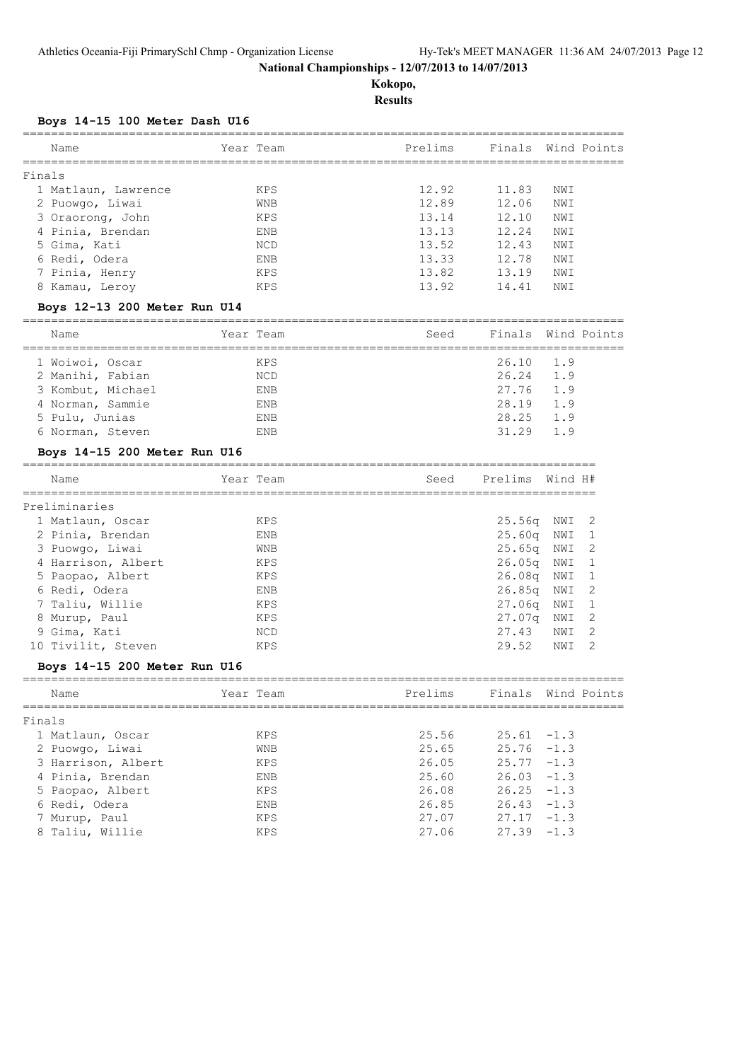**Kokopo, Results**

# **Boys 14-15 100 Meter Dash U16**

| Name                | Year Team  | Prelims |       | Finals Wind Points |
|---------------------|------------|---------|-------|--------------------|
| Finals              |            |         |       |                    |
| 1 Matlaun, Lawrence | <b>KPS</b> | 12.92   | 11.83 | NWI                |
| 2 Puowgo, Liwai     | <b>WNB</b> | 12.89   | 12.06 | NWI                |
| 3 Oraorong, John    | <b>KPS</b> | 13.14   | 12.10 | NWI                |
| 4 Pinia, Brendan    | <b>ENB</b> | 13.13   | 12.24 | NWI                |
| 5 Gima, Kati        | <b>NCD</b> | 13.52   | 12.43 | NW I               |
| 6 Redi, Odera       | <b>ENB</b> | 13.33   | 12.78 | NWI                |
| 7 Pinia, Henry      | KPS        | 13.82   | 13.19 | NWI                |
| 8 Kamau, Leroy      | KPS        | 13.92   | 14.41 | NWI                |
|                     |            |         |       |                    |

#### **Boys 12-13 200 Meter Run U14**

| Name              | Year Team  | Seed |                   | Finals Wind Points |
|-------------------|------------|------|-------------------|--------------------|
| 1 Woiwoi, Oscar   | <b>KPS</b> |      | $26.10 \quad 1.9$ |                    |
| 2 Manihi, Fabian  | NCD        |      | 26.24             | 1.9                |
| 3 Kombut, Michael | <b>ENB</b> |      | 27.76             | 1.9                |
| 4 Norman, Sammie  | <b>ENB</b> |      | 28.19 1.9         |                    |
| 5 Pulu, Junias    | <b>ENB</b> |      | 28.25             | 1.9                |
| 6 Norman, Steven  | <b>ENB</b> |      | 31 29             | 19                 |
|                   |            |      |                   |                    |

#### **Boys 14-15 200 Meter Run U16**

| Name               | Year Team | Seed | Prelims            | Wind H# |                |
|--------------------|-----------|------|--------------------|---------|----------------|
| Preliminaries      |           |      |                    |         |                |
| 1 Matlaun, Oscar   | KPS       |      | 25.56q             | NWI 2   |                |
| 2 Pinia, Brendan   | ENB       |      | 25.60 <sub>q</sub> | NWI     |                |
| 3 Puowqo, Liwai    | WNB       |      | 25.65 <sub>q</sub> | NWI     | - 2            |
| 4 Harrison, Albert | KPS       |      | 26.05 <sub>q</sub> | NWI     |                |
| 5 Paopao, Albert   | KPS       |      | 26.08 <sub>q</sub> | NWI     |                |
| 6 Redi, Odera      | ENB       |      | 26.85q             | NWI     | $\overline{2}$ |
| 7 Taliu, Willie    | KPS       |      | 27.06 <sub>q</sub> | NWI     |                |
| 8 Murup, Paul      | KPS       |      | 27.07q             | NWI     |                |
| 9 Gima, Kati       | NCD       |      | 27.43              | NWI     | 2              |
| 10 Tivilit, Steven | KPS       |      | 29.52              | NWI     |                |

# **Boys 14-15 200 Meter Run U16**

| Name               | Year Team  | Prelims |               | Finals Wind Points |
|--------------------|------------|---------|---------------|--------------------|
| Finals             |            |         |               |                    |
| 1 Matlaun, Oscar   | KPS        | 25.56   | $25.61 - 1.3$ |                    |
| 2 Puowgo, Liwai    | <b>WNB</b> | 25.65   | $25.76 - 1.3$ |                    |
| 3 Harrison, Albert | KPS        | 26.05   | $25.77 - 1.3$ |                    |
| 4 Pinia, Brendan   | ENB        | 25.60   | $26.03 - 1.3$ |                    |
| 5 Paopao, Albert   | KPS        | 26.08   | $26.25 - 1.3$ |                    |
| 6 Redi, Odera      | ENB        | 26.85   | $26.43 - 1.3$ |                    |
| 7 Murup, Paul      | KPS        | 27.07   | $27.17 - 1.3$ |                    |
| 8 Taliu, Willie    | KPS        | 27.06   | $27.39 - 1.3$ |                    |
|                    |            |         |               |                    |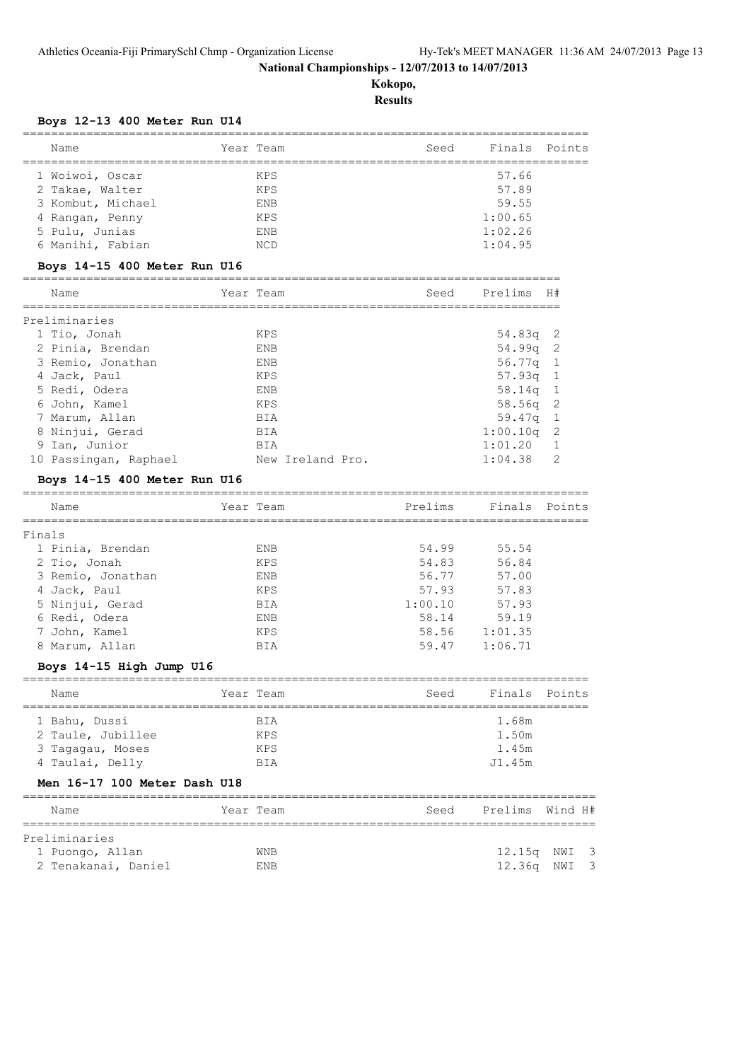**Kokopo, Results**

# **Boys 12-13 400 Meter Run U14**

|        | -------------------------------<br>========== |           |                  |         |               |          |
|--------|-----------------------------------------------|-----------|------------------|---------|---------------|----------|
|        | Name                                          |           | Year Team        | Seed    | Finals Points |          |
|        | 1 Woiwoi, Oscar                               |           | KPS              |         | 57.66         |          |
|        | 2 Takae, Walter                               |           | KPS              |         | 57.89         |          |
|        | 3 Kombut, Michael                             |           | ENB              |         | 59.55         |          |
|        | 4 Rangan, Penny                               |           | KPS              |         | 1:00.65       |          |
|        | 5 Pulu, Junias                                |           | ENB              |         | 1:02.26       |          |
|        | 6 Manihi, Fabian                              |           | NCD              |         | 1:04.95       |          |
|        | Boys 14-15 400 Meter Run U16                  |           |                  |         |               |          |
|        | Name                                          |           | Year Team        | Seed    | Prelims       | H#       |
|        | Preliminaries                                 |           |                  |         |               |          |
|        | 1 Tio, Jonah                                  |           | KPS              |         | 54.83q        | 2        |
|        | 2 Pinia, Brendan                              |           | ENB              |         | 54.99q        | 2        |
|        | 3 Remio, Jonathan                             |           | ENB              |         | 56.77q        | 1        |
|        | 4 Jack, Paul                                  |           | KPS              |         | 57.93q        | 1        |
|        | 5 Redi, Odera                                 |           | ENB              |         | 58.14q        | 1        |
|        | 6 John, Kamel                                 |           | KPS              |         | 58.56q        | 2        |
|        | 7 Marum, Allan                                |           | BIA              |         | 59.47q        | 1        |
|        | 8 Ninjui, Gerad                               |           | BIA              |         | 1:00.10q      | 2        |
|        | 9 Ian, Junior                                 |           | BIA              |         | 1:01.20       | 1        |
|        | 10 Passingan, Raphael                         |           | New Ireland Pro. |         | 1:04.38       | 2        |
|        | Boys 14-15 400 Meter Run U16                  |           |                  |         |               |          |
|        | Name                                          |           | Year Team        | Prelims | Finals        | Points   |
|        |                                               |           |                  |         |               |          |
| Finals |                                               |           |                  |         |               |          |
|        | 1 Pinia, Brendan                              |           | ENB              | 54.99   | 55.54         |          |
|        | 2 Tio, Jonah                                  |           | KPS              | 54.83   | 56.84         |          |
|        | 3 Remio, Jonathan                             |           | ENB              | 56.77   | 57.00         |          |
|        | 4 Jack, Paul                                  |           | KPS              | 57.93   | 57.83         |          |
|        | 5 Ninjui, Gerad                               |           | BIA              | 1:00.10 | 57.93         |          |
|        | 6 Redi, Odera                                 |           | ENB              | 58.14   | 59.19         |          |
|        | 7 John, Kamel                                 |           | KPS              | 58.56   | 1:01.35       |          |
|        | 8 Marum, Allan                                |           | BIA              | 59.47   | 1:06.71       |          |
|        | Boys 14-15 High Jump U16                      |           |                  |         |               |          |
|        | Name                                          | Year Team |                  | Seed    | Finals Points |          |
|        | 1 Bahu, Dussi                                 |           | BIA              |         | 1.68m         |          |
|        | 2 Taule, Jubillee                             |           | KPS              |         | 1.50m         |          |
|        | 3 Tagagau, Moses                              |           | KPS              |         | 1.45m         |          |
|        | 4 Taulai, Delly                               |           | BIA              |         | J1.45m        |          |
|        | Men 16-17 100 Meter Dash U18                  |           |                  |         |               |          |
|        | Name                                          |           | Year Team        | Seed    | Prelims       | Wind H#  |
|        | Preliminaries                                 |           |                  |         |               |          |
|        | 1 Puongo, Allan                               |           | WNB              |         | 12.15q        | 3<br>NWI |
|        | 2 Tenakanai, Daniel                           |           | ENB              |         | 12.36q        | 3<br>NWI |
|        |                                               |           |                  |         |               |          |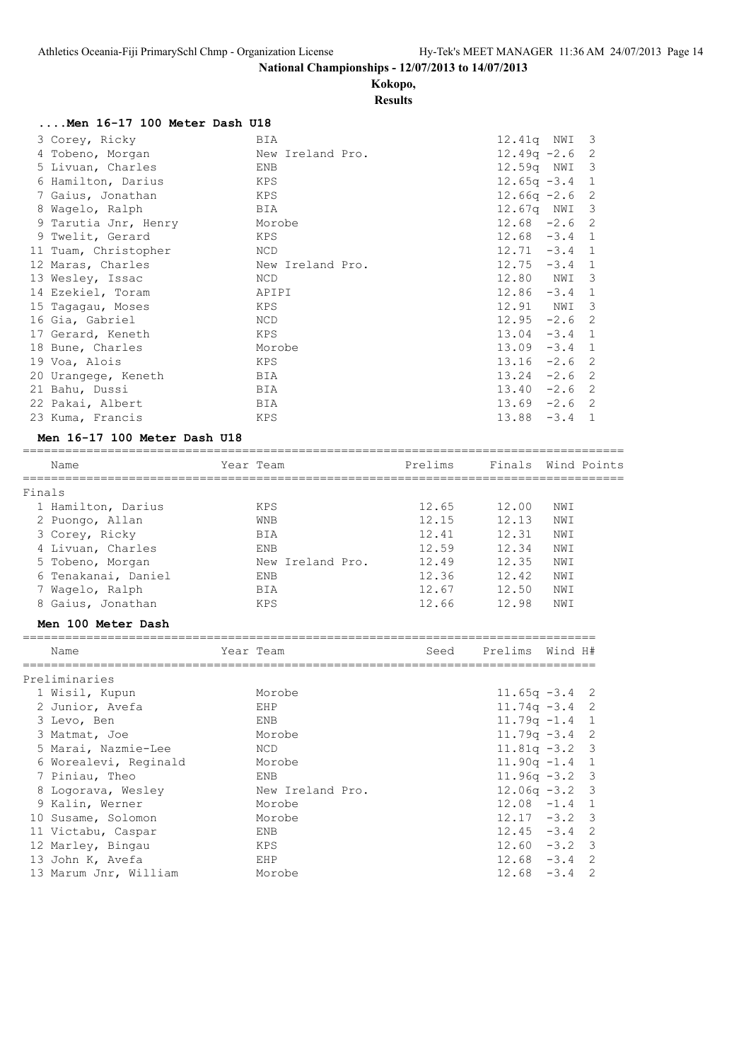**Kokopo,**

# **Results**

| Men 16-17 100 Meter Dash U18 |                  |                                   |
|------------------------------|------------------|-----------------------------------|
| 3 Corey, Ricky               | BIA              | 12.41q NWI 3                      |
| 4 Tobeno, Morgan             | New Ireland Pro. | $12.49q - 2.6$ 2                  |
| 5 Livuan, Charles            | ENB              | 12.59q NWI 3                      |
| 6 Hamilton, Darius           | KPS              | $12.65q - 3.4$<br>1               |
| 7 Gaius, Jonathan            | KPS              | $12.66q -2.6$<br>- 2              |
| 8 Waqelo, Ralph              | BIA              | 12.67q NWI 3                      |
| 9 Tarutia Jnr, Henry         | Morobe           | $12.68 - 2.6$ 2                   |
| 9 Twelit, Gerard             | KPS              | $12.68 - 3.4 1$                   |
| 11 Tuam, Christopher         | NCD              | $12.71 - 3.4$ 1                   |
| 12 Maras, Charles            | New Ireland Pro. | $12.75 - 3.4$<br>$\mathbf{1}$     |
| 13 Wesley, Issac             | NCD              | 12.80 NWI<br>-3                   |
| 14 Ezekiel, Toram            | APIPI            | 12.86<br>$-3.4$ 1                 |
| 15 Tagagau, Moses            | KPS              | 12.91 NWI<br>-3                   |
| 16 Gia, Gabriel              | NCD              | $12.95 -2.6$ 2                    |
| 17 Gerard, Keneth            | KPS              | $13.04 - 3.4$ 1                   |
| 18 Bune, Charles             | Morobe           | $13.09 - 3.4$<br>$\mathbf{1}$     |
| 19 Voa, Alois                | KPS              | $13.16 -2.6$ 2                    |
| 20 Urangege, Keneth          | BIA              | $-2.6$ 2<br>13.24                 |
| 21 Bahu, Dussi               | BIA              | $-2.6$<br>13.40<br>-2             |
| 22 Pakai, Albert             | BIA              | $13.69 - 2.6$ 2                   |
| 23 Kuma, Francis             | KPS              | $-3.4$<br>13.88<br>$\overline{1}$ |

#### **Men 16-17 100 Meter Dash U18**

|        | Name                | Year Team  |                  | Prelims |       | Finals Wind Points |
|--------|---------------------|------------|------------------|---------|-------|--------------------|
| Finals |                     |            |                  |         |       |                    |
|        | 1 Hamilton, Darius  | KPS        |                  | 12.65   | 12.00 | NWI                |
|        | 2 Puongo, Allan     | <b>WNB</b> |                  | 12.15   | 12.13 | NWI                |
|        | 3 Corey, Ricky      | <b>BIA</b> |                  | 12.41   | 12.31 | NWI                |
|        | 4 Livuan, Charles   | ENB        |                  | 12.59   | 12.34 | NWI                |
|        | 5 Tobeno, Morgan    |            | New Ireland Pro. | 12.49   | 12.35 | NWI                |
|        | 6 Tenakanai, Daniel | ENB        |                  | 12.36   | 12.42 | NWI                |
|        | 7 Waqelo, Ralph     | <b>BTA</b> |                  | 12.67   | 12.50 | NWI                |
|        | 8 Gaius, Jonathan   | KPS        |                  | 12.66   | 12.98 | NWI                |

# **Men 100 Meter Dash**

| Name                  | Year Team        | Seed | Prelims Wind H#  |  |
|-----------------------|------------------|------|------------------|--|
| Preliminaries         |                  |      |                  |  |
| 1 Wisil, Kupun        | Morobe           |      | $11.65q - 3.4$ 2 |  |
| 2 Junior, Avefa       | EHP              |      | $11.74q - 3.4$ 2 |  |
| 3 Levo, Ben           | ENB              |      | $11.79q - 1.4$ 1 |  |
| 3 Matmat, Joe         | Morobe           |      | $11.79q - 3.4$ 2 |  |
| 5 Marai, Nazmie-Lee   | NCD.             |      | $11.81q - 3.2$ 3 |  |
| 6 Worealevi, Reginald | Morobe           |      | $11.90q - 1.4$ 1 |  |
| 7 Piniau, Theo        | ENB              |      | $11.96q - 3.2$ 3 |  |
| 8 Logorava, Wesley    | New Ireland Pro. |      | $12.06q - 3.2$ 3 |  |
| 9 Kalin, Werner       | Morobe           |      | $12.08 -1.4$ 1   |  |
| 10 Susame, Solomon    | Morobe           |      | $12.17 - 3.2$ 3  |  |
| 11 Victabu, Caspar    | <b>ENB</b>       |      | $12.45 - 3.4$ 2  |  |
| 12 Marley, Bingau     | KPS              |      | $12.60 - 3.2$ 3  |  |
| 13 John K, Avefa      | EHP              |      | $12.68 - 3.4$ 2  |  |
| 13 Marum Jnr, William | Morobe           |      | $12.68 - 3.4$ 2  |  |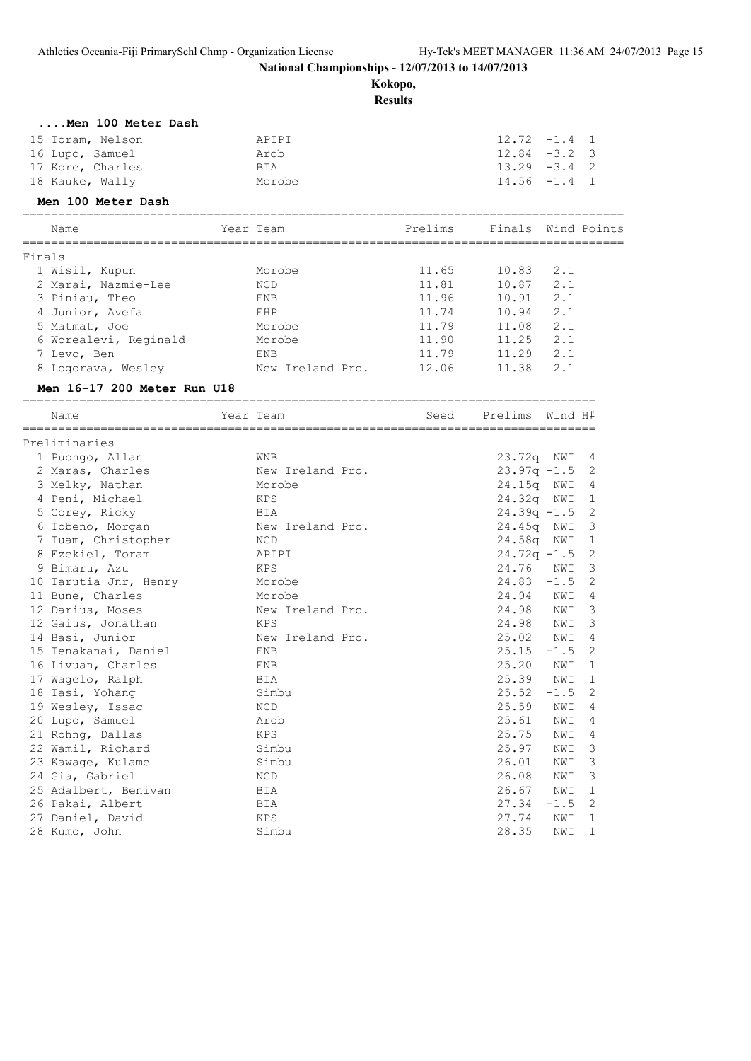**Kokopo,**

|        |                                   |                                      | <i>ivenopos</i><br><b>Results</b> |                            |            |                          |
|--------|-----------------------------------|--------------------------------------|-----------------------------------|----------------------------|------------|--------------------------|
|        | Men 100 Meter Dash                |                                      |                                   |                            |            |                          |
|        | 15 Toram, Nelson                  | APIPI                                |                                   | $12.72 -1.4$ 1             |            |                          |
|        | 16 Lupo, Samuel                   | Arob                                 |                                   | $12.84 - 3.2$ 3            |            |                          |
|        | 17 Kore, Charles                  | BIA                                  |                                   | $13.29 - 3.4$ 2            |            |                          |
|        | 18 Kauke, Wally                   | Morobe                               |                                   | $14.56 - 1.4$ 1            |            |                          |
|        | Men 100 Meter Dash                |                                      |                                   |                            |            |                          |
|        | Name                              | Year Team                            |                                   | Prelims Finals Wind Points |            |                          |
|        |                                   |                                      |                                   |                            |            |                          |
| Finals | 1 Wisil, Kupun                    | Morobe                               | 11.65                             | 10.83                      | 2.1        |                          |
|        | 2 Marai, Nazmie-Lee               | NCD                                  | 11.81                             | 10.87                      | 2.1        |                          |
|        | 3 Piniau, Theo                    | ENB                                  | 11.96                             | 10.91                      | 2.1        |                          |
|        | 4 Junior, Avefa                   | EHP                                  | 11.74                             | 10.94                      | 2.1        |                          |
|        | 5 Matmat, Joe                     | Morobe                               | 11.79                             | 11.08                      | 2.1        |                          |
|        | 6 Worealevi, Reginald             | Morobe                               | 11.90                             | 11.25                      | 2.1        |                          |
|        |                                   | ENB                                  | 11.79                             | 11.29                      | 2.1        |                          |
|        | 7 Levo, Ben                       | New Ireland Pro.                     | 12.06                             |                            | 2.1        |                          |
|        | 8 Logorava, Wesley                |                                      |                                   | 11.38                      |            |                          |
|        | Men 16-17 200 Meter Run U18       |                                      |                                   |                            |            |                          |
|        | Name                              | Year Team                            | Seed                              | Prelims Wind H#            |            |                          |
|        | Preliminaries                     |                                      |                                   |                            |            |                          |
|        | 1 Puongo, Allan                   | WNB                                  |                                   | 23.72q NWI 4               |            |                          |
|        | 2 Maras, Charles                  | New Ireland Pro.                     |                                   | $23.97q - 1.5$ 2           |            |                          |
|        | 3 Melky, Nathan                   | Morobe                               |                                   | 24.15q NWI 4               |            |                          |
|        | 4 Peni, Michael                   | KPS                                  |                                   | 24.32q NWI                 |            | $\overline{\phantom{0}}$ |
|        | 5 Corey, Ricky                    | BIA                                  |                                   | $24.39q -1.5$ 2            |            |                          |
|        | 6 Tobeno, Morgan                  | New Ireland Pro.                     |                                   | 24.45q NWI                 |            | 3                        |
|        | 7 Tuam, Christopher               | NCD                                  |                                   | 24.58q NWI                 |            | 1                        |
|        | 8 Ezekiel, Toram                  | APIPI                                |                                   | $24.72q -1.5$              |            | 2                        |
|        | 9 Bimaru, Azu                     | KPS                                  |                                   | 24.76                      | NWI        | 3                        |
|        | 10 Tarutia Jnr, Henry             | Morobe                               |                                   | 24.83                      | $-1.5$     | 2                        |
|        | 11 Bune, Charles                  | Morobe                               |                                   | 24.94                      | NWI        | 4                        |
|        | 12 Darius, Moses                  | New Ireland Pro.                     |                                   | 24.98                      | NWI        | 3                        |
|        | 12 Gaius, Jonathan                | KPS                                  |                                   | 24.98                      | NWI        | 3                        |
|        | 14 Basi, Junior                   | New Ireland Pro.                     |                                   | 25.02                      | NWI        | 4                        |
|        | 15 Tenakanai, Daniel              | ENB                                  |                                   | $25.15 - 1.5$              |            | $\overline{2}$           |
|        | 16 Livuan, Charles                | ENB                                  |                                   | 25.20                      | NWI        | 1                        |
|        | 17 Wagelo, Ralph                  | <b>BIA</b>                           |                                   | 25.39                      | NWI        | 1                        |
|        | 18 Tasi, Yohang                   | Simbu                                |                                   | 25.52                      | $-1.5$     | 2                        |
|        | 19 Wesley, Issac                  | $\rm NCD$                            |                                   | 25.59                      | NWI        | 4                        |
|        | 20 Lupo, Samuel                   | Arob                                 |                                   | 25.61                      | NWI        | 4                        |
|        | 21 Rohng, Dallas                  | KPS                                  |                                   | 25.75                      | NWI        | 4                        |
|        | 22 Wamil, Richard                 | Simbu                                |                                   | 25.97                      |            |                          |
|        | 23 Kawage, Kulame                 | Simbu                                |                                   | 26.01                      | NWI<br>NWI | 3                        |
|        | 24 Gia, Gabriel                   |                                      |                                   |                            | NWI        | 3                        |
|        |                                   | NCD                                  |                                   | 26.08                      |            | 3                        |
|        | 25 Adalbert, Benivan              | BIA                                  |                                   | 26.67                      | NWI        | 1                        |
|        | 26 Pakai, Albert                  | BIA                                  |                                   | 27.34                      | $-1.5$     | 2                        |
|        | 27 Daniel, David<br>28 Kumo, John | $\mathop{\rm KPS}\nolimits$<br>Simbu |                                   | 27.74                      | NWI        | $\mathbf 1$              |
|        |                                   |                                      |                                   | 28.35                      | NWI        | 1                        |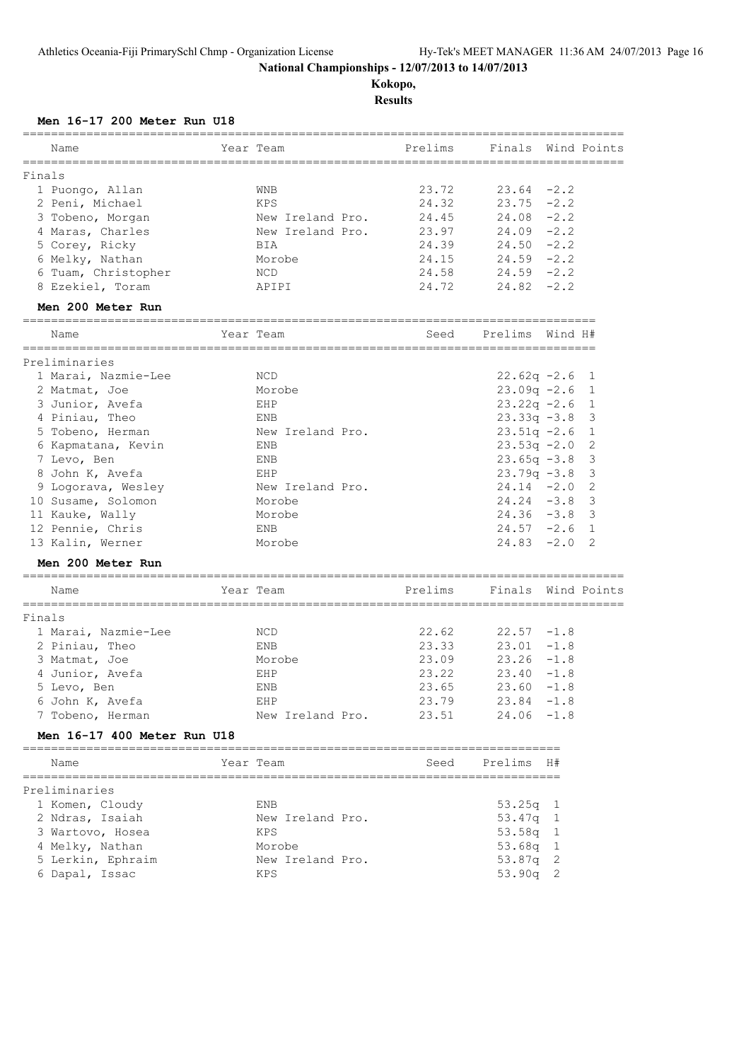**Kokopo, Results**

#### **Men 16-17 200 Meter Run U18**

| Name                               | =========<br>Year Team | ==========<br>Prelims    | Finals Wind Points |         |                         |
|------------------------------------|------------------------|--------------------------|--------------------|---------|-------------------------|
|                                    |                        |                          |                    |         |                         |
| Finals                             |                        | 23.72                    | 23.64              | $-2.2$  |                         |
| 1 Puongo, Allan<br>2 Peni, Michael | WNB<br>KPS             | 24.32                    | $23.75 - 2.2$      |         |                         |
| 3 Tobeno, Morgan                   | New Ireland Pro.       | 24.45                    | 24.08              | $-2.2$  |                         |
| 4 Maras, Charles                   | New Ireland Pro.       | 23.97                    | 24.09              | $-2.2$  |                         |
| 5 Corey, Ricky                     | BIA                    | 24.39                    | $24.50 -2.2$       |         |                         |
| 6 Melky, Nathan                    | Morobe                 | 24.15                    | 24.59              | $-2.2$  |                         |
| 6 Tuam, Christopher                | NCD                    | 24.58                    | $24.59 - 2.2$      |         |                         |
| 8 Ezekiel, Toram                   | APIPI                  | 24.72                    | $24.82 - 2.2$      |         |                         |
| Men 200 Meter Run                  |                        |                          |                    |         |                         |
| Name                               | Year Team              | Seed                     | Prelims            | Wind H# |                         |
| Preliminaries                      |                        |                          |                    |         |                         |
| 1 Marai, Nazmie-Lee                | NCD                    |                          | $22.62q -2.6$      |         | - 1                     |
| 2 Matmat, Joe                      | Morobe                 |                          | $23.09q - 2.6$     |         | $\mathbf{1}$            |
| 3 Junior, Avefa                    | EHP                    |                          | $23.22q -2.6$      |         | $\overline{1}$          |
| 4 Piniau, Theo                     | ENB                    |                          | $23.33q -3.8$      |         | 3                       |
| 5 Tobeno, Herman                   | New Ireland Pro.       |                          | $23.51q -2.6$      |         | $\overline{1}$          |
| 6 Kapmatana, Kevin                 | ENB                    |                          | $23.53q -2.0$      |         | $\mathbf{2}$            |
| 7 Levo, Ben                        | ENB                    |                          | $23.65q -3.8$      |         | $\mathbf{3}$            |
| 8 John K, Avefa                    | EHP                    |                          | $23.79q -3.8$      |         | 3                       |
| 9 Logorava, Wesley                 | New Ireland Pro.       |                          | $24.14 - 2.0$      |         | 2                       |
| 10 Susame, Solomon                 | Morobe                 |                          | 24.24              | $-3.8$  | 3                       |
| 11 Kauke, Wally                    | Morobe                 |                          | $24.36 - 3.8$      |         | $\overline{\mathbf{3}}$ |
| 12 Pennie, Chris                   | ENB                    |                          | $24.57 - 2.6$      |         | $\overline{1}$          |
| 13 Kalin, Werner                   | Morobe                 |                          | 24.83              | $-2.0$  | $\overline{2}$          |
| Men 200 Meter Run                  |                        |                          |                    |         |                         |
| Name                               | Year Team              | Prelims                  | Finals Wind Points |         |                         |
| Finals                             |                        |                          |                    |         |                         |
| 1 Marai, Nazmie-Lee                | NCD                    | 22.62                    | 22.57              | $-1.8$  |                         |
| 2 Piniau, Theo                     | ENB                    | 23.33                    | 23.01              | $-1.8$  |                         |
| 3 Matmat, Joe                      | Morobe                 | 23.09                    | 23.26              | $-1.8$  |                         |
| 4 Junior, Avefa                    | EHP                    | 23.22                    | 23.40              | $-1.8$  |                         |
| 5 Levo, Ben                        | <b>ENB</b>             | 23.65                    | 23.60              | $-1.8$  |                         |
| 6 John K, Avefa                    | EHP                    | 23.79                    | 23.84              | $-1.8$  |                         |
| 7 Tobeno, Herman                   | New Ireland Pro.       | 23.51                    | 24.06              | $-1.8$  |                         |
| Men 16-17 400 Meter Run U18        |                        | ________________________ |                    |         |                         |
| Name                               | Year Team              | Seed                     | Prelims            | H#      |                         |
| Preliminaries                      |                        |                          |                    |         |                         |
| 1 Komen, Cloudy                    | ENB                    |                          | 53.25q             | 1       |                         |
| 2 Ndras, Isaiah                    | New Ireland Pro.       |                          | 53.47q             | 1       |                         |
| 3 Wartovo, Hosea                   | KPS                    |                          | 53.58q             | 1       |                         |
| 4 Melky, Nathan                    | Morobe                 |                          | 53.68q             | 1       |                         |
| 5 Lerkin, Ephraim                  | New Ireland Pro.       |                          | 53.87q             | 2       |                         |
| 6 Dapal, Issac                     | KPS                    |                          | 53.90q             | 2       |                         |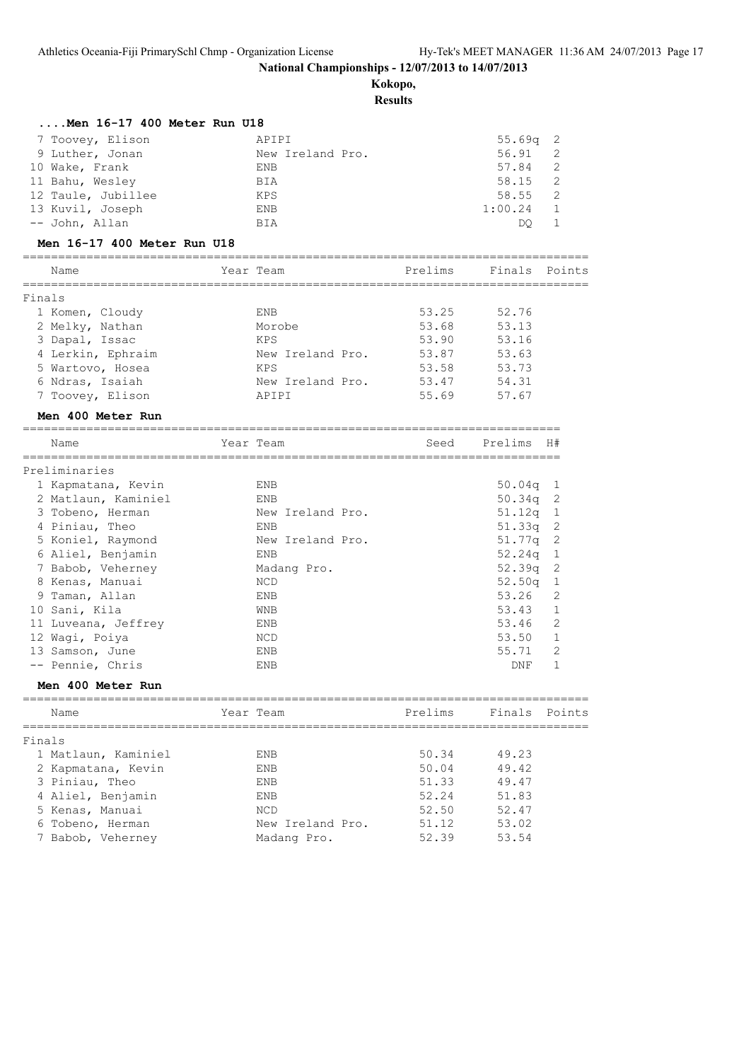**Kokopo,**

|        | Men 16-17 400 Meter Run U18          |                  |                |                       |                |
|--------|--------------------------------------|------------------|----------------|-----------------------|----------------|
|        | 7 Toovey, Elison                     | APIPI            |                | 55.69q                | 2              |
|        | 9 Luther, Jonan                      | New Ireland Pro. |                | 56.91                 | 2              |
|        | 10 Wake, Frank                       | ENB              |                | 57.84                 | 2              |
|        | 11 Bahu, Wesley                      | BIA              |                | 58.15                 | 2              |
|        | 12 Taule, Jubillee                   | KPS              |                | 58.55                 | 2              |
|        | 13 Kuvil, Joseph                     | ENB              |                | 1:00.24               | 1              |
|        | -- John, Allan                       | BIA              |                | DQ.                   | 1              |
|        | Men 16-17 400 Meter Run U18          |                  |                |                       |                |
|        | Name                                 | Year Team        |                | Prelims Finals Points |                |
|        |                                      |                  |                |                       |                |
| Finals |                                      |                  |                |                       |                |
|        | 1 Komen, Cloudy                      | ENB              | 53.25          | 52.76                 |                |
|        | 2 Melky, Nathan                      | Morobe           | 53.68          | 53.13                 |                |
|        | 3 Dapal, Issac                       | KPS              | 53.90          | 53.16                 |                |
|        | 4 Lerkin, Ephraim                    | New Ireland Pro. | 53.87          | 53.63                 |                |
|        | 5 Wartovo, Hosea                     | KPS              | 53.58          | 53.73                 |                |
|        | 6 Ndras, Isaiah                      | New Ireland Pro. | 53.47          | 54.31                 |                |
|        | 7 Toovey, Elison                     | APIPI            |                | 55.69 57.67           |                |
|        | Men 400 Meter Run                    |                  |                |                       |                |
|        | Name                                 | Year Team        | Seed           | Prelims H#            |                |
|        |                                      |                  |                |                       |                |
|        | Preliminaries                        |                  |                |                       |                |
|        | 1 Kapmatana, Kevin                   | ENB              |                | $50.04q$ 1            |                |
|        | 2 Matlaun, Kaminiel                  | ENB              |                | $50.34q$ 2            |                |
|        | 3 Tobeno, Herman                     | New Ireland Pro. |                | 51.12q 1              |                |
|        | 4 Piniau, Theo                       | ENB              |                | $51.33q$ 2            |                |
|        | 5 Koniel, Raymond                    | New Ireland Pro. |                | $51.77q$ 2            |                |
|        | 6 Aliel, Benjamin                    | ENB              |                | $52.24q$ 1            |                |
|        | 7 Babob, Veherney                    | Madang Pro.      |                | 52.39q                | $\overline{c}$ |
|        | 8 Kenas, Manuai                      | NCD              |                | $52.50q$ 1            |                |
|        | 9 Taman, Allan                       | ENB              |                | 53.26                 | 2              |
|        | 10 Sani, Kila                        | WNB              |                | 53.43                 | 1              |
|        | 11 Luveana, Jeffrey                  | ENB              |                | 53.46                 | 2              |
|        | 12 Wagi, Poiya                       | NCD              |                | 53.50                 | -1             |
|        | 13 Samson, June                      | ENB              |                | 55.71                 | 2              |
|        | -- Pennie, Chris                     | ENB              |                | DNF                   | $\mathbf{1}$   |
|        | Men 400 Meter Run<br>=============== |                  |                |                       |                |
|        | Name                                 | Year Team        | Prelims        | Finals                | Points         |
|        | =============                        |                  |                |                       |                |
| Finals |                                      |                  |                |                       |                |
|        | 1 Matlaun, Kaminiel                  | ENB              | 50.34          | 49.23                 |                |
|        | 2 Kapmatana, Kevin                   | ENB              | 50.04<br>51.33 | 49.42                 |                |
|        | 3 Piniau, Theo                       | ENB              |                | 49.47                 |                |
|        | 4 Aliel, Benjamin                    | ENB              | 52.24          | 51.83                 |                |
|        | 5 Kenas, Manuai                      | NCD              | 52.50          | 52.47                 |                |
|        | 6 Tobeno, Herman                     | New Ireland Pro. | 51.12          | 53.02                 |                |
|        | 7 Babob, Veherney                    | Madang Pro.      | 52.39          | 53.54                 |                |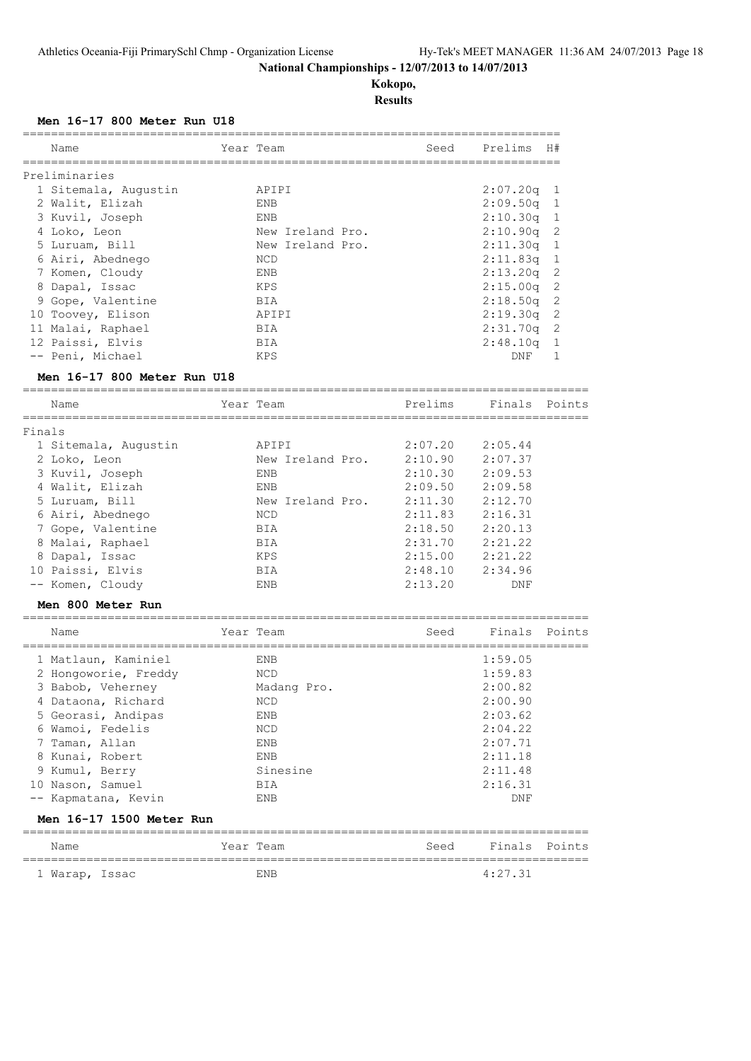**Kokopo, Results**

================================================================================

#### **Men 16-17 800 Meter Run U18**

| Name                 | Year Team        | Seed | Prelims      | H#  |
|----------------------|------------------|------|--------------|-----|
| Preliminaries        |                  |      |              |     |
| 1 Sitemala, Augustin | APIPI            |      | $2:07.20q$ 1 |     |
| 2 Walit, Elizah      | ENB              |      | $2:09.50q$ 1 |     |
| 3 Kuvil, Joseph      | ENB              |      | $2:10.30q$ 1 |     |
| 4 Loko, Leon         | New Ireland Pro. |      | $2:10.90q$ 2 |     |
| 5 Luruam, Bill       | New Ireland Pro. |      | $2:11.30q$ 1 |     |
| 6 Airi, Abednego     | NCD              |      | $2:11.83q$ 1 |     |
| 7 Komen, Cloudy      | ENB              |      | $2:13.20q$ 2 |     |
| 8 Dapal, Issac       | KPS              |      | $2:15.00q$ 2 |     |
| 9 Gope, Valentine    | BIA              |      | $2:18.50q$ 2 |     |
| 10 Toovey, Elison    | APIPI            |      | $2:19.30q$ 2 |     |
| 11 Malai, Raphael    | <b>BIA</b>       |      | $2:31.70q$ 2 |     |
| 12 Paissi, Elvis     | BIA              |      | 2:48.10q     | - 1 |
| -- Peni, Michael     | KPS              |      | DNF          |     |

#### **Men 16-17 800 Meter Run U18**

 Name Year Team Prelims Finals Points ================================================================================ Finals 1 Sitemala, Augustin APIPI 2:07.20 2:05.44 2 Loko, Leon New Ireland Pro. 2:10.90 2:07.37 3 Kuvil, Joseph ENB 2:10.30 2:09.53 4 Walit, Elizah ENB 2:09.50 2:09.58 5 Luruam, Bill New Ireland Pro. 2:11.30 2:12.70 6 Airi, Abednego NCD 2:11.83 2:16.31 7 Gope, Valentine BIA 2:18.50 2:20.13 8 Malai, Raphael BIA 2:31.70 2:21.22 8 Dapal, Issac KPS 2:15.00 2:21.22 10 Paissi, Elvis BIA 2:48.10 2:34.96 -- Komen, Cloudy ENB 2:13.20 DNF

================================================================================

# **Men 800 Meter Run**

|   | Name                     | Year Team   | Seed | Finals Points |  |
|---|--------------------------|-------------|------|---------------|--|
|   | 1 Matlaun, Kaminiel      | ENB         |      | 1:59.05       |  |
|   | 2 Hongoworie, Freddy     | NCD         |      | 1:59.83       |  |
|   | 3 Babob, Veherney        | Madang Pro. |      | 2:00.82       |  |
|   | 4 Dataona, Richard       | <b>NCD</b>  |      | 2:00.90       |  |
|   | 5 Georasi, Andipas       | ENB         |      | 2:03.62       |  |
| 6 | Wamoi, Fedelis           | <b>NCD</b>  |      | 2:04.22       |  |
|   | 7 Taman, Allan           | ENB         |      | 2:07.71       |  |
|   | 8 Kunai, Robert          | ENB         |      | 2:11.18       |  |
|   | 9 Kumul, Berry           | Sinesine    |      | 2:11.48       |  |
|   | 10 Nason, Samuel         | BIA         |      | 2:16.31       |  |
|   | -- Kapmatana, Kevin      | ENB         |      | DNF           |  |
|   | Men 16-17 1500 Meter Run |             |      |               |  |
|   | Name                     | Year Team   | Seed | Finals Points |  |

================================================================================ 1 Warap, Issac ENB 4:27.31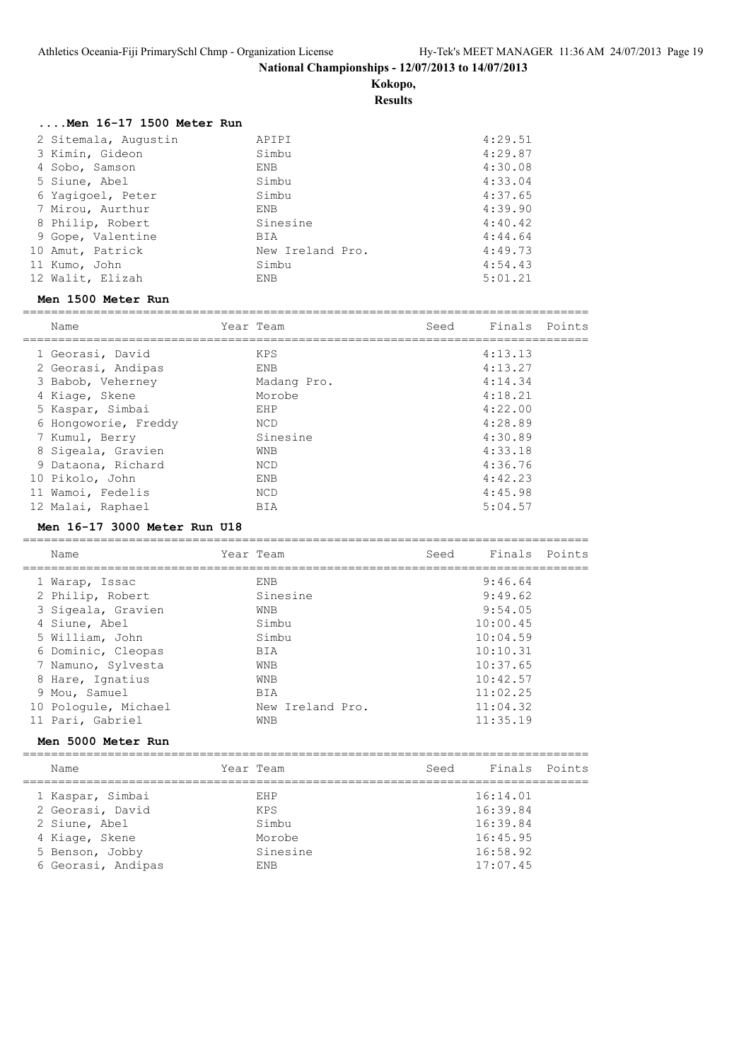**Kokopo,**

**Results**

| Men 16-17 1500 Meter Run |                  |         |
|--------------------------|------------------|---------|
| 2 Sitemala, Augustin     | APIPI            | 4:29.51 |
| 3 Kimin, Gideon          | Simbu            | 4:29.87 |
| 4 Sobo, Samson           | ENB              | 4:30.08 |
| 5 Siune, Abel            | Simbu            | 4:33.04 |
| 6 Yaqiqoel, Peter        | Simbu            | 4:37.65 |
| 7 Mirou, Aurthur         | ENB              | 4:39.90 |
| 8 Philip, Robert         | Sinesine         | 4:40.42 |
| 9 Gope, Valentine        | BIA              | 4:44.64 |
| 10 Amut, Patrick         | New Ireland Pro. | 4:49.73 |
| 11 Kumo, John            | Simbu            | 4:54.43 |
| 12 Walit, Elizah         | ENB              | 5:01.21 |
| Men 1500 Meter Run       |                  |         |

| Name                 | Year Team   | Seed | Finals Points |  |
|----------------------|-------------|------|---------------|--|
| 1 Georasi, David     | <b>KPS</b>  |      | 4:13.13       |  |
|                      |             |      |               |  |
| 2 Georasi, Andipas   | ENB         |      | 4:13.27       |  |
| 3 Babob, Veherney    | Madang Pro. |      | 4:14.34       |  |
| 4 Kiage, Skene       | Morobe      |      | 4:18.21       |  |
| 5 Kaspar, Simbai     | EHP         |      | 4:22.00       |  |
| 6 Hongoworie, Freddy | <b>NCD</b>  |      | 4:28.89       |  |
| 7 Kumul, Berry       | Sinesine    |      | 4:30.89       |  |
| 8 Sigeala, Gravien   | WNB         |      | 4:33.18       |  |
| 9 Dataona, Richard   | NCD         |      | 4:36.76       |  |
| 10 Pikolo, John      | <b>ENB</b>  |      | 4:42.23       |  |
| 11 Wamoi, Fedelis    | NCD         |      | 4:45.98       |  |
| 12 Malai, Raphael    | BIA         |      | 5:04.57       |  |

#### **Men 16-17 3000 Meter Run U18**

| Name                                     | Year Team               | Seed | Finals Points        |  |
|------------------------------------------|-------------------------|------|----------------------|--|
| 1 Warap, Issac                           | <b>ENB</b>              |      | 9:46.64<br>9:49.62   |  |
| 2 Philip, Robert<br>3 Sigeala, Gravien   | Sinesine<br>WNB         |      | 9:54.05              |  |
| 4 Siune, Abel<br>5 William, John         | Simbu<br>Simbu          |      | 10:00.45<br>10:04.59 |  |
| 6 Dominic, Cleopas                       | BIA                     |      | 10:10.31             |  |
| 7 Namuno, Sylvesta<br>8 Hare, Ignatius   | WNB<br><b>WNB</b>       |      | 10:37.65<br>10:42.57 |  |
| 9 Mou, Samuel                            | BIA                     |      | 11:02.25             |  |
| 10 Pologule, Michael<br>11 Pari, Gabriel | New Ireland Pro.<br>WNB |      | 11:04.32<br>11:35.19 |  |
|                                          |                         |      |                      |  |

# **Men 5000 Meter Run**

| Name               | Year Team  | Seed | Finals Points |  |
|--------------------|------------|------|---------------|--|
| 1 Kaspar, Simbai   | F.HP       |      | 16:14.01      |  |
| 2 Georasi, David   | KPS        |      | 16:39.84      |  |
| 2 Siune, Abel      | Simbu      |      | 16:39.84      |  |
| 4 Kiage, Skene     | Morobe     |      | 16:45.95      |  |
| 5 Benson, Jobby    | Sinesine   |      | 16:58.92      |  |
| 6 Georasi, Andipas | <b>FNB</b> |      | 17:07.45      |  |
|                    |            |      |               |  |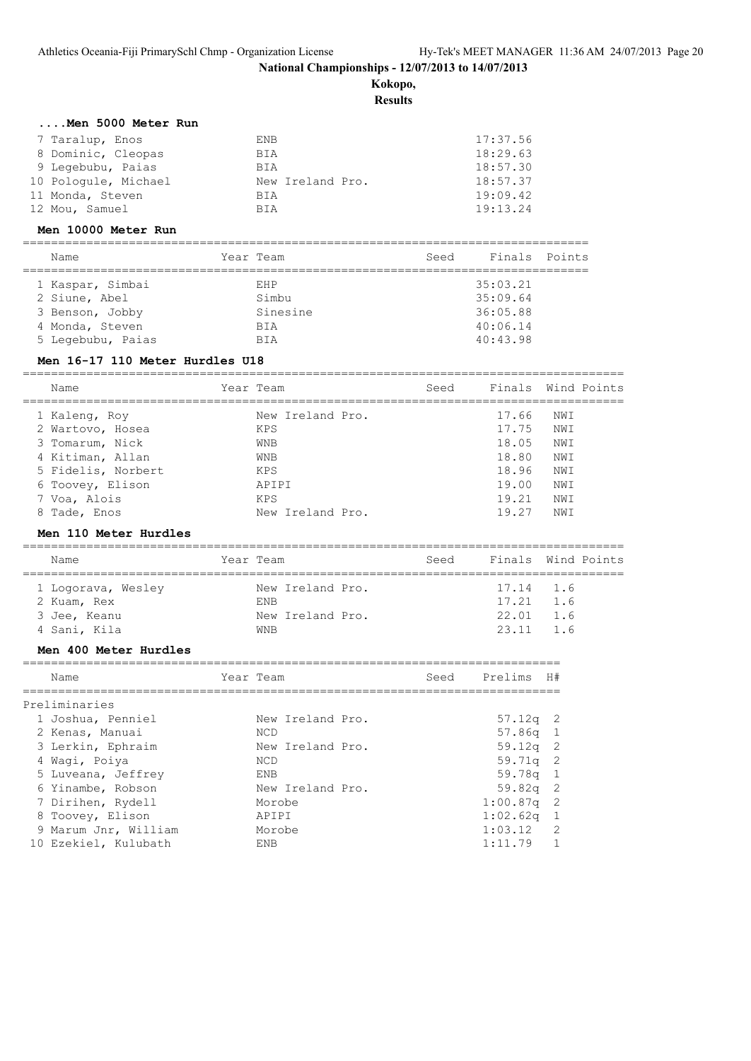**Kokopo,**

**Results**

|  |  | Men 5000 Meter Run |  |
|--|--|--------------------|--|
|  |  |                    |  |

| 7 Taralup, Enos      | ENB              | 17:37.56 |
|----------------------|------------------|----------|
| 8 Dominic, Cleopas   | BIA              | 18:29.63 |
| 9 Leqebubu, Paias    | BIA              | 18:57.30 |
| 10 Pologule, Michael | New Ireland Pro. | 18:57.37 |
| 11 Monda, Steven     | BIA              | 19:09.42 |
| 12 Mou, Samuel       | <b>BTA</b>       | 19:13.24 |

#### **Men 10000 Meter Run**

| Name                                                 | Year Team                        | Seed | Finals Points                    |  |
|------------------------------------------------------|----------------------------------|------|----------------------------------|--|
| 1 Kaspar, Simbai<br>2 Siune, Abel<br>3 Benson, Jobby | <b>F.HP</b><br>Simbu<br>Sinesine |      | 35:03.21<br>35:09.64<br>36:05.88 |  |
| 4 Monda, Steven<br>5 Legebubu, Paias                 | <b>BTA</b><br><b>BTA</b>         |      | 40:06.14<br>40:43.98             |  |

# **Men 16-17 110 Meter Hurdles U18**

| Name               | Year Team        | Seed |       | Finals Wind Points |
|--------------------|------------------|------|-------|--------------------|
| 1 Kaleng, Roy      | New Ireland Pro. |      | 17.66 | NWI                |
| 2 Wartovo, Hosea   | KPS              |      | 17.75 | NWI                |
| 3 Tomarum, Nick    | <b>WNB</b>       |      | 18.05 | NWI                |
| 4 Kitiman, Allan   | <b>WNB</b>       |      | 18.80 | NWI                |
| 5 Fidelis, Norbert | KPS              |      | 18.96 | NWI                |
| 6 Toovey, Elison   | APTPT            |      | 19.00 | NWI                |
| 7 Voa, Alois       | <b>KPS</b>       |      | 19.21 | NWI                |
| 8 Tade, Enos       | New Ireland Pro. |      | 19.27 | NWI                |
|                    |                  |      |       |                    |

#### **Men 110 Meter Hurdles**

| Name                                              | Year Team                                          | Seed |                                               | Finals Wind Points |
|---------------------------------------------------|----------------------------------------------------|------|-----------------------------------------------|--------------------|
| 1 Logorava, Wesley<br>2 Kuam, Rex<br>3 Jee, Keanu | New Ireland Pro.<br><b>FNB</b><br>New Ireland Pro. |      | 17.14 1.6<br>$17.21 \quad 1.6$<br>$22.01$ 1.6 |                    |
| 4 Sani, Kila                                      | WNB                                                |      | $23.11$ 1.6                                   |                    |

#### **Men 400 Meter Hurdles**

| Name                 | Year Team        | Seed | Prelims      | H#            |
|----------------------|------------------|------|--------------|---------------|
| Preliminaries        |                  |      |              |               |
| 1 Joshua, Penniel    | New Ireland Pro. |      | $57.12q$ 2   |               |
| 2 Kenas, Manuai      | NCD              |      | $57.86q$ 1   |               |
| 3 Lerkin, Ephraim    | New Ireland Pro. |      | $59.12q$ 2   |               |
| 4 Waqi, Poiya        | <b>NCD</b>       |      | $59.71q$ 2   |               |
| 5 Luveana, Jeffrey   | ENB              |      | $59.78q$ 1   |               |
| 6 Yinambe, Robson    | New Ireland Pro. |      | $59.82q$ 2   |               |
| 7 Dirihen, Rydell    | Morobe           |      | $1:00.87q$ 2 |               |
| 8 Toovey, Elison     | APIPI            |      | $1:02.62q$ 1 |               |
| 9 Marum Jnr, William | Morobe           |      | 1:03.12      | $\mathcal{P}$ |
| 10 Ezekiel, Kulubath | <b>FNB</b>       |      | 1:11.79      |               |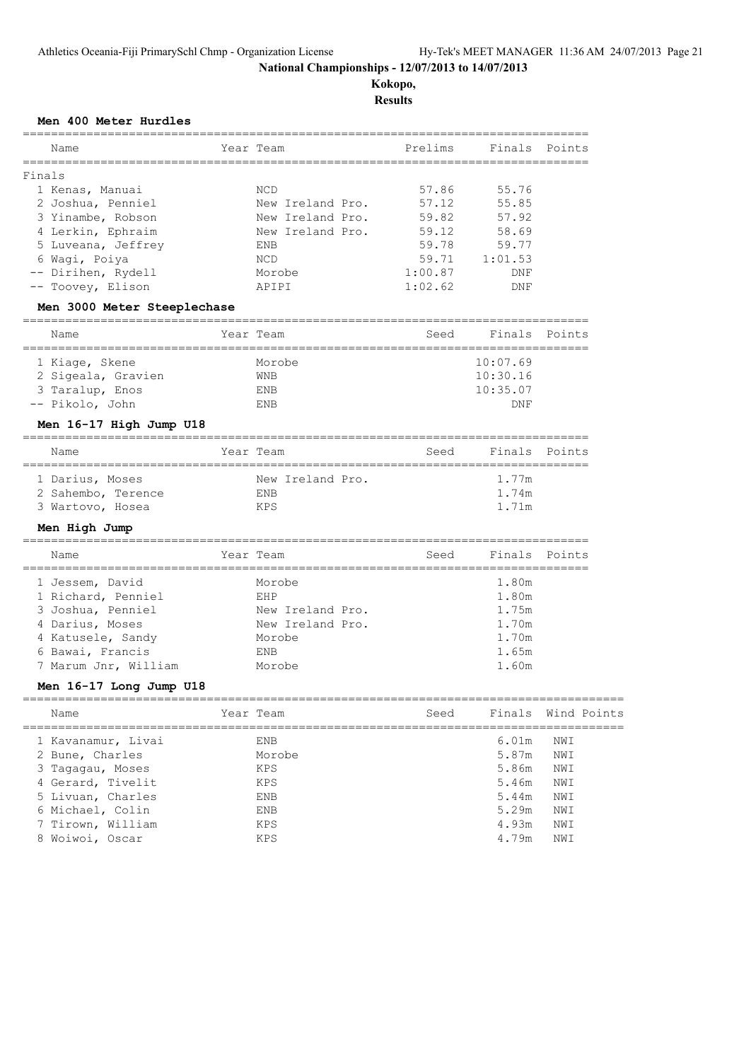**Kokopo, Results**

# **Men 400 Meter Hurdles**

| Name                        |                   | Year Team        | Prelims                     |                      | Finals Points      |
|-----------------------------|-------------------|------------------|-----------------------------|----------------------|--------------------|
| Finals                      |                   |                  |                             | -------------------- |                    |
| 1 Kenas, Manuai             |                   | NCD              | 57.86                       | 55.76                |                    |
| 2 Joshua, Penniel           |                   | New Ireland Pro. | 57.12                       | 55.85                |                    |
| 3 Yinambe, Robson           |                   | New Ireland Pro. | 59.82                       | 57.92                |                    |
| 4 Lerkin, Ephraim           |                   | New Ireland Pro. | 59.12                       | 58.69                |                    |
| 5 Luveana, Jeffrey          |                   | ENB              | 59.78                       | 59.77                |                    |
| 6 Wagi, Poiya               |                   | NCD              | 59.71                       | 1:01.53              |                    |
| -- Dirihen, Rydell          |                   | Morobe           | 1:00.87                     | DNF                  |                    |
| -- Toovey, Elison           |                   | APIPI            | 1:02.62                     | DNF                  |                    |
| Men 3000 Meter Steeplechase |                   |                  |                             |                      |                    |
| Name                        |                   | Year Team        | Seed                        | Finals Points        |                    |
| 1 Kiage, Skene              |                   | Morobe           |                             | 10:07.69             |                    |
| 2 Sigeala, Gravien          |                   | WNB              |                             | 10:30.16             |                    |
| 3 Taralup, Enos             |                   | ENB              |                             | 10:35.07             |                    |
| -- Pikolo, John             |                   | ENB              |                             | DNF                  |                    |
| Men 16-17 High Jump U18     |                   |                  |                             |                      |                    |
| Name                        |                   | Year Team        | Seed                        |                      | Finals Points      |
| 1 Darius, Moses             |                   | New Ireland Pro. |                             | 1.77m                |                    |
| 2 Sahembo, Terence          |                   | ENB              |                             | 1.74m                |                    |
| 3 Wartovo, Hosea            |                   | KPS              |                             | 1.71m                |                    |
| Men High Jump               |                   |                  |                             |                      |                    |
| Name                        |                   | Year Team        | Seed                        |                      | Finals Points      |
| 1 Jessem, David             |                   | Morobe           | =========================== | 1.80m                |                    |
| 1 Richard, Penniel          |                   | EHP              |                             | 1.80m                |                    |
| 3 Joshua, Penniel           |                   | New Ireland Pro. |                             | 1.75m                |                    |
| 4 Darius, Moses             |                   | New Ireland Pro. |                             | 1.70m                |                    |
| 4 Katusele, Sandy           |                   | Morobe           |                             | 1.70m                |                    |
| 6 Bawai, Francis            |                   | ENB              |                             | 1.65m                |                    |
| 7 Marum Jnr, William        |                   | Morobe           |                             | 1.60m                |                    |
| Men 16-17 Long Jump U18     |                   |                  |                             |                      |                    |
| $N \sim m \sim$             | $V \cap N$ $\Box$ |                  | $C \cap A$                  |                      | $E_{\text{total}}$ |

| Name               | Year Team  | Seed |       | Finals Wind Points |
|--------------------|------------|------|-------|--------------------|
| 1 Kavanamur, Livai | ENB        |      | 6.01m | NWI                |
| 2 Bune, Charles    | Morobe     |      | 5.87m | NWI                |
| 3 Tagagau, Moses   | KPS        |      | 5.86m | NWI                |
| 4 Gerard, Tivelit  | KPS        |      | 5.46m | NWI                |
| 5 Livuan, Charles  | <b>ENB</b> |      | 5.44m | NWI                |
| 6 Michael, Colin   | ENB        |      | 5.29m | NWI                |
| 7 Tirown, William  | KPS        |      | 4.93m | NWI                |
| 8 Woiwoi, Oscar    | <b>KPS</b> |      | 4.79m | NWI                |
|                    |            |      |       |                    |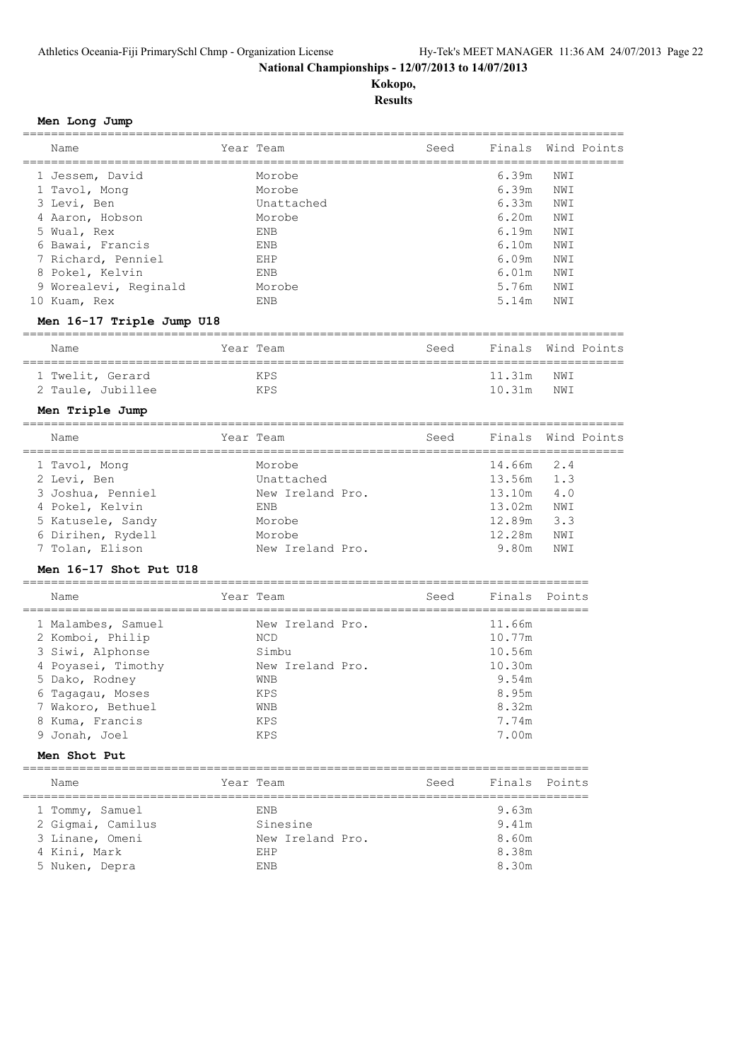# **Kokopo, Results**

**Men Long Jump**

| Name                                      |             | Year Team        | Seed                                  | Finals        |        | Wind Points |
|-------------------------------------------|-------------|------------------|---------------------------------------|---------------|--------|-------------|
| 1 Jessem, David                           |             | Morobe           |                                       | 6.39m         | NWI    |             |
| 1 Tavol, Mong                             |             | Morobe           |                                       | 6.39m         | NWI    |             |
| 3 Levi, Ben                               |             | Unattached       |                                       | 6.33m         | NWI    |             |
| 4 Aaron, Hobson                           |             | Morobe           |                                       | 6.20m         | NWI    |             |
| 5 Wual, Rex                               |             | ENB              |                                       | 6.19m         | NWI    |             |
| 6 Bawai, Francis                          |             | ENB              |                                       | 6.10m         | NWI    |             |
| 7 Richard, Penniel                        |             | EHP              |                                       | 6.09m         | NWI    |             |
| 8 Pokel, Kelvin                           |             | ENB              |                                       | 6.01m         | NWI    |             |
|                                           |             | Morobe           |                                       | 5.76m         |        |             |
| 9 Worealevi, Reginald                     |             |                  |                                       |               | NWI    |             |
| 10 Kuam, Rex                              |             | ENB              |                                       | 5.14m         | NWI    |             |
| Men 16-17 Triple Jump U18                 |             |                  |                                       |               |        |             |
| Name<br>=========================         | ====        | Year Team        | Seed                                  | Finals        |        | Wind Points |
| 1 Twelit, Gerard                          |             | KPS              |                                       | 11.31m        | NWI    |             |
| 2 Taule, Jubillee                         |             | KPS              |                                       | 10.31m        | NWI    |             |
| Men Triple Jump                           |             |                  |                                       |               |        |             |
| =================<br>==================== |             |                  |                                       |               |        |             |
| Name                                      |             | Year Team        | Seed                                  | Finals        |        | Wind Points |
| 1 Tavol, Mong                             |             | Morobe           |                                       | 14.66m        | 2.4    |             |
| 2 Levi, Ben                               |             | Unattached       |                                       | 13.56m        | 1.3    |             |
| 3 Joshua, Penniel                         |             | New Ireland Pro. |                                       | 13.10m        | 4.0    |             |
| 4 Pokel, Kelvin                           |             | ENB              |                                       | 13.02m        | NWI    |             |
| 5 Katusele, Sandy                         |             | Morobe           |                                       | 12.89m        | 3.3    |             |
| 6 Dirihen, Rydell                         |             | Morobe           |                                       | 12.28m        | NWI    |             |
| 7 Tolan, Elison                           |             | New Ireland Pro. |                                       | 9.80m         | NWI    |             |
| Men 16-17 Shot Put U18                    |             |                  |                                       |               |        |             |
|                                           |             |                  |                                       |               |        |             |
| Name<br>===================               | =========== | Year Team        | Seed<br>============================= | Finals        | Points |             |
| 1 Malambes, Samuel                        |             | New Ireland Pro. |                                       | 11.66m        |        |             |
| 2 Komboi, Philip                          |             | NCD              |                                       | 10.77m        |        |             |
| 3 Siwi, Alphonse                          |             | Simbu            |                                       | 10.56m        |        |             |
| 4 Poyasei, Timothy                        |             | New Ireland Pro. |                                       | 10.30m        |        |             |
| 5 Dako, Rodney                            |             | WNB              |                                       | 9.54m         |        |             |
|                                           |             | <b>KPS</b>       |                                       | 8.95m         |        |             |
| 6 Tagagau, Moses<br>7 Wakoro, Bethuel     |             |                  |                                       | 8.32m         |        |             |
|                                           |             | WNB<br>KPS       |                                       | 7.74m         |        |             |
| 8 Kuma, Francis                           |             |                  |                                       |               |        |             |
| 9 Jonah, Joel                             |             | KPS              |                                       | 7.00m         |        |             |
| Men Shot Put                              |             |                  |                                       |               |        |             |
| Name                                      |             | Year Team        | Seed                                  | Finals Points |        |             |
| 1 Tommy, Samuel                           |             | ENB              |                                       | 9.63m         |        |             |
| 2 Gigmai, Camilus                         |             | Sinesine         |                                       | 9.41m         |        |             |
| 3 Linane, Omeni                           |             | New Ireland Pro. |                                       | 8.60m         |        |             |
| 4 Kini, Mark                              |             | EHP              |                                       | 8.38m         |        |             |
| 5 Nuken, Depra                            |             | ENB              |                                       | 8.30m         |        |             |
|                                           |             |                  |                                       |               |        |             |
|                                           |             |                  |                                       |               |        |             |
|                                           |             |                  |                                       |               |        |             |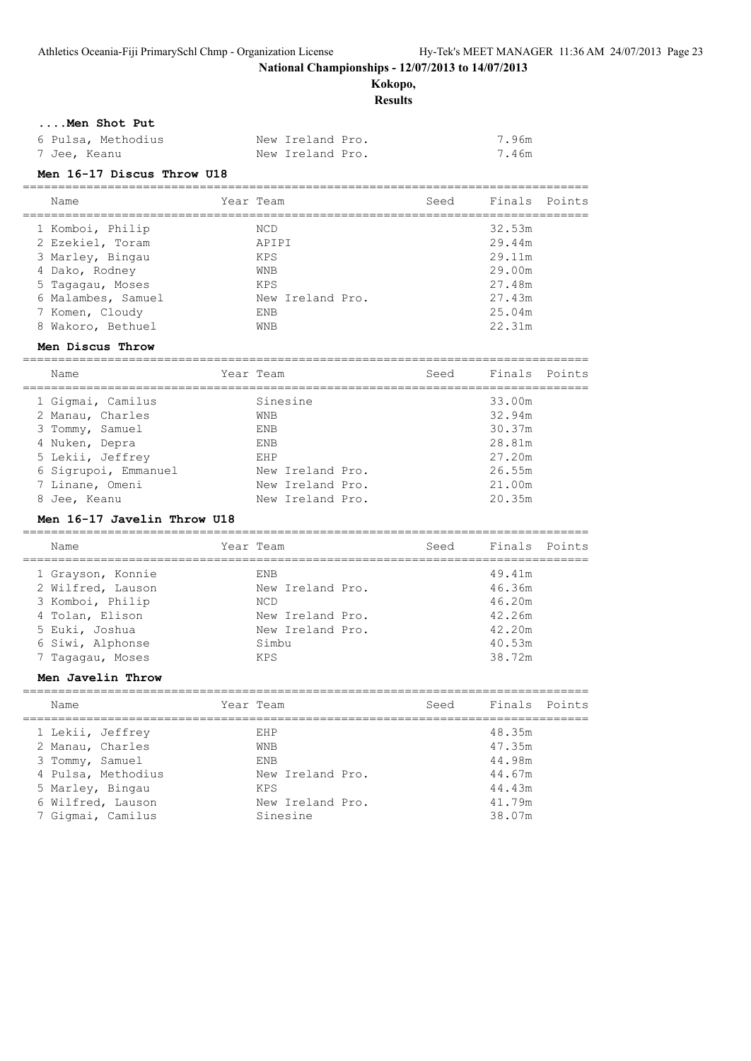**Kokopo,**

**Results**

#### **....Men Shot Put**

| 6 Pulsa, Methodius | New Ireland Pro. | 7.96m |
|--------------------|------------------|-------|
| 7 Jee, Keanu       | New Ireland Pro. | 7.46m |

#### **Men 16-17 Discus Throw U18**

| Name               | Year Team        | Seed | Finals Points |  |
|--------------------|------------------|------|---------------|--|
| 1 Komboi, Philip   | <b>NCD</b>       |      | 32.53m        |  |
| 2 Ezekiel, Toram   | APIPI            |      | 29.44m        |  |
| 3 Marley, Bingau   | KPS              |      | 29.11m        |  |
| 4 Dako, Rodney     | <b>WNB</b>       |      | 29.00m        |  |
| 5 Tagagau, Moses   | <b>KPS</b>       |      | 27.48m        |  |
| 6 Malambes, Samuel | New Ireland Pro. |      | 27.43m        |  |
| 7 Komen, Cloudy    | ENB              |      | 25.04m        |  |
| 8 Wakoro, Bethuel  | <b>WNB</b>       |      | 22.31m        |  |

================================================================================

#### **Men Discus Throw**

================================================================================ Name **Seed** Finals Points ================================================================================ 1 Gigmai, Camilus Sinesine 33.00m 2 Manau, Charles WNB 32.94m 3 Tommy, Samuel ENB 30.37m 4 Nuken, Depra ENB 28.81m 5 Lekii, Jeffrey EHP 27.20m 6 Sigrupoi, Emmanuel New Ireland Pro. 26.55m 7 Linane, Omeni New Ireland Pro. 21.00m 8 Jee, Keanu New Ireland Pro. 20.35m

#### **Men 16-17 Javelin Throw U18**

| Name              | Year Team        | Seed | Finals Points |  |
|-------------------|------------------|------|---------------|--|
| 1 Grayson, Konnie | ENB              |      | 49.41m        |  |
| 2 Wilfred, Lauson | New Ireland Pro. |      | 46.36m        |  |
| 3 Komboi, Philip  | <b>NCD</b>       |      | 46.20m        |  |
| 4 Tolan, Elison   | New Ireland Pro. |      | 42.26m        |  |
| 5 Euki, Joshua    | New Ireland Pro. |      | 42.20m        |  |
| 6 Siwi, Alphonse  | Simbu            |      | 40.53m        |  |
| 7 Tagagau, Moses  | <b>KPS</b>       |      | 38.72m        |  |
|                   |                  |      |               |  |

#### **Men Javelin Throw**

| Name               | Year Team        | Seed | Finals Points |  |
|--------------------|------------------|------|---------------|--|
| 1 Lekii, Jeffrey   | EHP              |      | 48.35m        |  |
| 2 Manau, Charles   | <b>WNB</b>       |      | 47.35m        |  |
| 3 Tommy, Samuel    | <b>ENB</b>       |      | 44.98m        |  |
| 4 Pulsa, Methodius | New Ireland Pro. |      | 44.67m        |  |
| 5 Marley, Bingau   | <b>KPS</b>       |      | 44.43m        |  |
| 6 Wilfred, Lauson  | New Ireland Pro. |      | 41.79m        |  |
| 7 Gigmai, Camilus  | Sinesine         |      | 38.07m        |  |
|                    |                  |      |               |  |